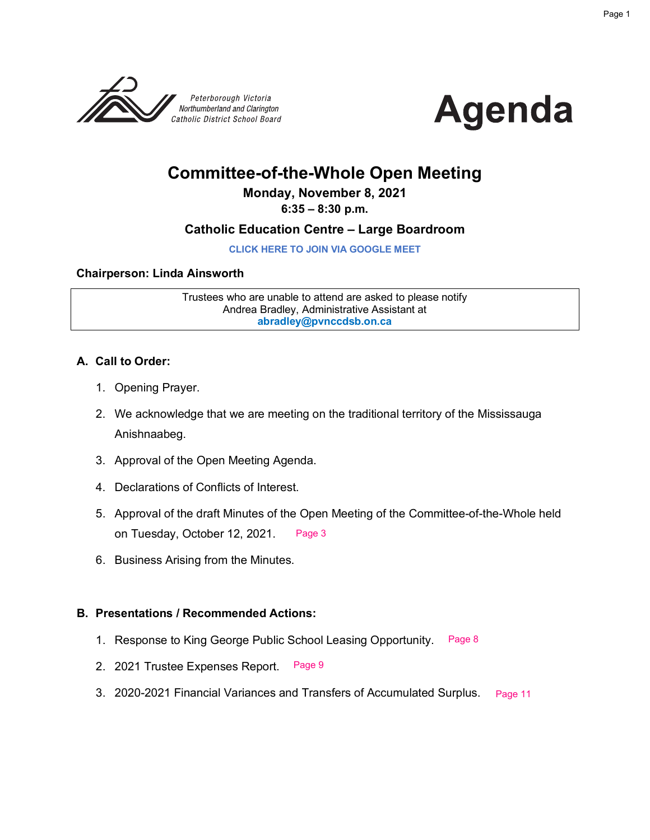



#### **Committee-of-the-Whole Open Meeting**

#### **Monday, November 8, 2021**

#### **6:35 – 8:30 p.m.**

#### **Catholic Education Centre – Large Boardroom**

**[CLICK HERE TO JOIN VIA GOOGLE MEET](meet.google.com/jkd-hpok-fdf)**

#### **Chairperson: Linda Ainsworth**

Trustees who are unable to attend are asked to please notify Andrea Bradley, Administrative Assistant at **abradley@pvnccdsb.on.ca**

#### **A. Call to Order:**

- 1. Opening Prayer.
- 2. We acknowledge that we are meeting on the traditional territory of the Mississauga Anishnaabeg.
- 3. Approval of the Open Meeting Agenda.
- 4. Declarations of Conflicts of Interest.
- 5. Approval of the draft Minutes of the Open Meeting of the Committee-of-the-Whole held on Tuesday, October 12, 2021. [Page 3](#page-2-0)
- 6. Business Arising from the Minutes.

#### **B. Presentations / Recommended Actions:**

- 1. Response to King George Public School Leasing Opportunity. [Page 8](#page-7-0)
- 2. 2021 Trustee Expenses Report. [Page 9](#page-8-0)
- 3. 2020-2021 Financial Variances and Transfers of Accumulated Surplus. Page 11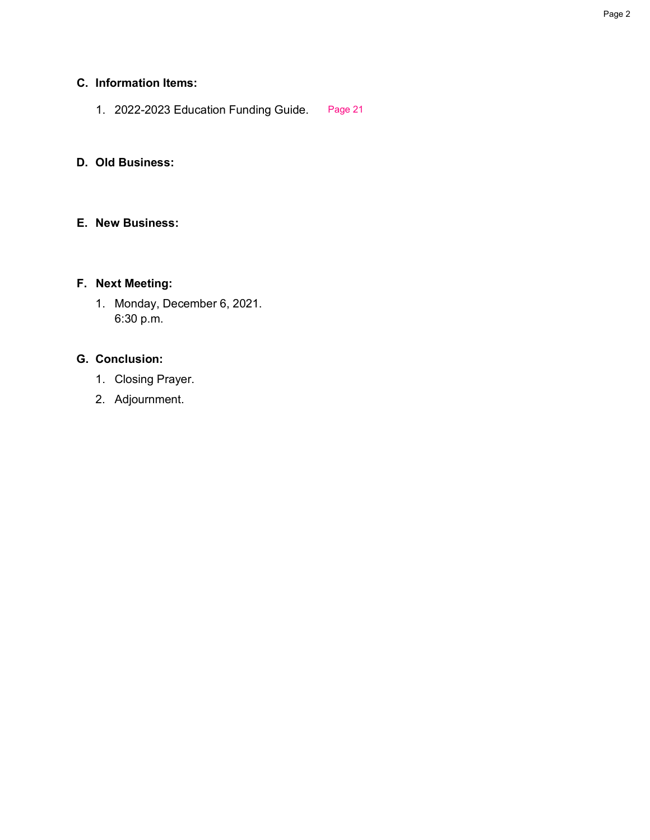#### **C. Information Items:**

1. 2022-2023 Education Funding Guide. [Page 21](#page-20-0)

#### **D. Old Business:**

#### **E. New Business:**

#### **F. Next Meeting:**

1. Monday, December 6, 2021. 6:30 p.m.

#### **G. Conclusion:**

- 1. Closing Prayer.
- 2. Adjournment.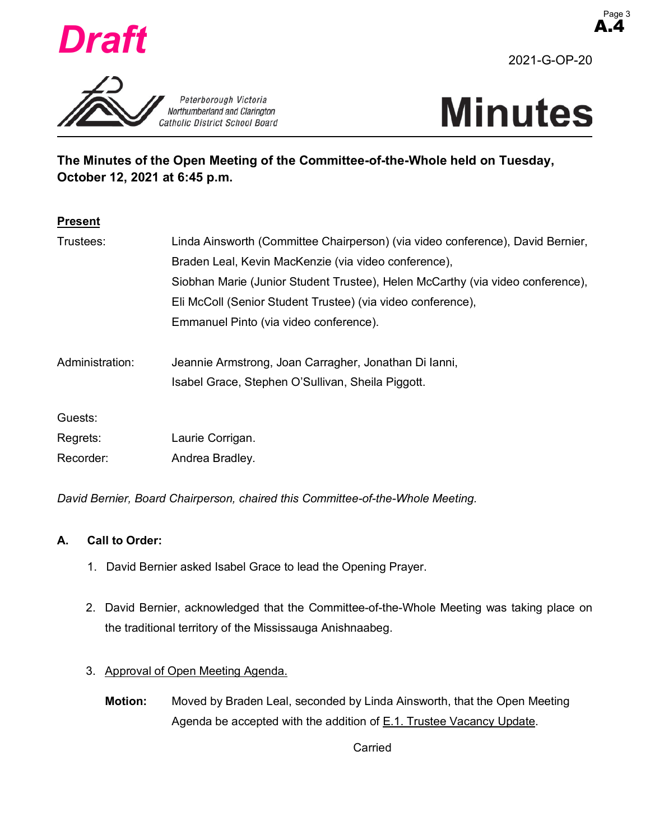<span id="page-2-0"></span>

A.4





**The Minutes of the Open Meeting of the Committee-of-the-Whole held on Tuesday, October 12, 2021 at 6:45 p.m.**

| <b>Present</b>  |                                                                                |  |  |  |  |  |  |  |  |  |
|-----------------|--------------------------------------------------------------------------------|--|--|--|--|--|--|--|--|--|
| Trustees:       | Linda Ainsworth (Committee Chairperson) (via video conference), David Bernier, |  |  |  |  |  |  |  |  |  |
|                 | Braden Leal, Kevin MacKenzie (via video conference),                           |  |  |  |  |  |  |  |  |  |
|                 | Siobhan Marie (Junior Student Trustee), Helen McCarthy (via video conference), |  |  |  |  |  |  |  |  |  |
|                 | Eli McColl (Senior Student Trustee) (via video conference),                    |  |  |  |  |  |  |  |  |  |
|                 | Emmanuel Pinto (via video conference).                                         |  |  |  |  |  |  |  |  |  |
| Administration: | Jeannie Armstrong, Joan Carragher, Jonathan Di Janni,                          |  |  |  |  |  |  |  |  |  |
|                 | Isabel Grace, Stephen O'Sullivan, Sheila Piggott.                              |  |  |  |  |  |  |  |  |  |
| Guests:         |                                                                                |  |  |  |  |  |  |  |  |  |
| Regrets:        | Laurie Corrigan.                                                               |  |  |  |  |  |  |  |  |  |
| Recorder:       | Andrea Bradley.                                                                |  |  |  |  |  |  |  |  |  |

*David Bernier, Board Chairperson, chaired this Committee-of-the-Whole Meeting.*

#### **A. Call to Order:**

- 1. David Bernier asked Isabel Grace to lead the Opening Prayer.
- 2. David Bernier, acknowledged that the Committee-of-the-Whole Meeting was taking place on the traditional territory of the Mississauga Anishnaabeg.

#### 3. Approval of Open Meeting Agenda.

**Motion:** Moved by Braden Leal, seconded by Linda Ainsworth, that the Open Meeting Agenda be accepted with the addition of E.1. Trustee Vacancy Update.

Carried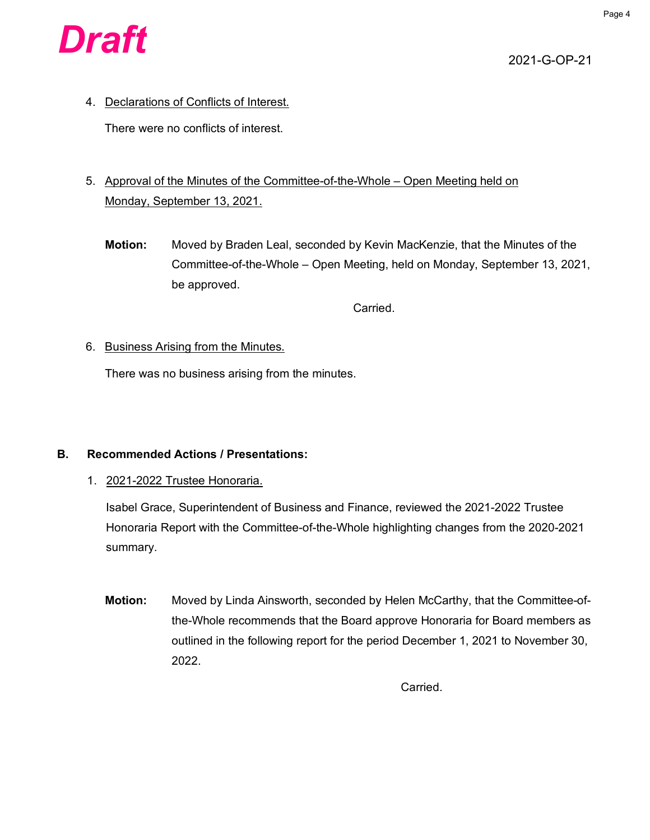

4. Declarations of Conflicts of Interest.

There were no conflicts of interest.

- 5. Approval of the Minutes of the Committee-of-the-Whole Open Meeting held on Monday, September 13, 2021.
	- **Motion:** Moved by Braden Leal, seconded by Kevin MacKenzie, that the Minutes of the Committee-of-the-Whole – Open Meeting, held on Monday, September 13, 2021, be approved.

Carried.

#### 6. Business Arising from the Minutes.

There was no business arising from the minutes.

#### **B. Recommended Actions / Presentations:**

1. 2021-2022 Trustee Honoraria.

Isabel Grace, Superintendent of Business and Finance, reviewed the 2021-2022 Trustee Honoraria Report with the Committee-of-the-Whole highlighting changes from the 2020-2021 summary.

**Motion:** Moved by Linda Ainsworth, seconded by Helen McCarthy, that the Committee-ofthe-Whole recommends that the Board approve Honoraria for Board members as outlined in the following report for the period December 1, 2021 to November 30, 2022.

Carried.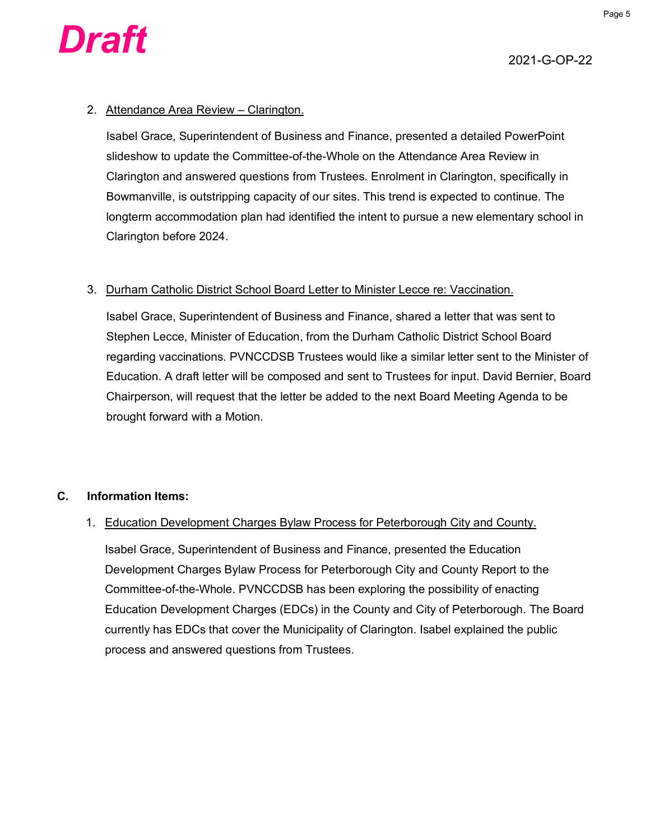

#### 2. Attendance Area Review – Clarington.

Isabel Grace, Superintendent of Business and Finance, presented a detailed PowerPoint slideshow to update the Committee-of-the-Whole on the Attendance Area Review in Clarington and answered questions from Trustees. Enrolment in Clarington, specifically in Bowmanville, is outstripping capacity of our sites. This trend is expected to continue. The longterm accommodation plan had identified the intent to pursue a new elementary school in Clarington before 2024.

#### 3. Durham Catholic District School Board Letter to Minister Lecce re: Vaccination.

Isabel Grace, Superintendent of Business and Finance, shared a letter that was sent to Stephen Lecce, Minister of Education, from the Durham Catholic District School Board regarding vaccinations. PVNCCDSB Trustees would like a similar letter sent to the Minister of Education. A draft letter will be composed and sent to Trustees for input. David Bernier, Board Chairperson, will request that the letter be added to the next Board Meeting Agenda to be brought forward with a Motion.

#### **C. Information Items:**

#### 1. Education Development Charges Bylaw Process for Peterborough City and County.

Isabel Grace, Superintendent of Business and Finance, presented the Education Development Charges Bylaw Process for Peterborough City and County Report to the Committee-of-the-Whole. PVNCCDSB has been exploring the possibility of enacting Education Development Charges (EDCs) in the County and City of Peterborough. The Board currently has EDCs that cover the Municipality of Clarington. Isabel explained the public process and answered questions from Trustees.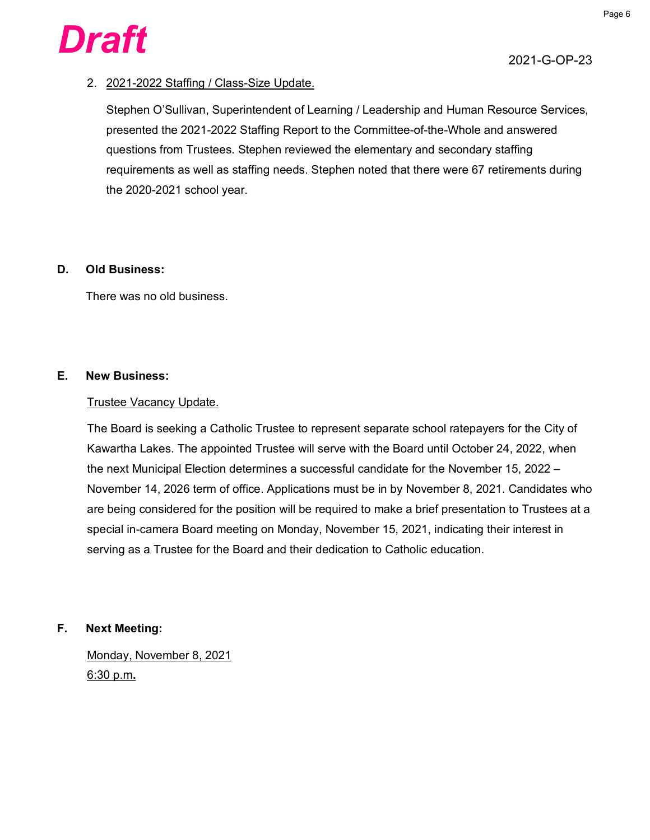

#### 2. 2021-2022 Staffing / Class-Size Update.

Stephen O'Sullivan, Superintendent of Learning / Leadership and Human Resource Services, presented the 2021-2022 Staffing Report to the Committee-of-the-Whole and answered questions from Trustees. Stephen reviewed the elementary and secondary staffing requirements as well as staffing needs. Stephen noted that there were 67 retirements during the 2020-2021 school year.

#### **D. Old Business:**

There was no old business.

#### **E. New Business:**

#### Trustee Vacancy Update.

The Board is seeking a Catholic Trustee to represent separate school ratepayers for the City of Kawartha Lakes. The appointed Trustee will serve with the Board until October 24, 2022, when the next Municipal Election determines a successful candidate for the November 15, 2022 – November 14, 2026 term of office. Applications must be in by November 8, 2021. Candidates who are being considered for the position will be required to make a brief presentation to Trustees at a special in-camera Board meeting on Monday, November 15, 2021, indicating their interest in serving as a Trustee for the Board and their dedication to Catholic education.

#### **F. Next Meeting:**

Monday, November 8, 2021 6:30 p.m**.**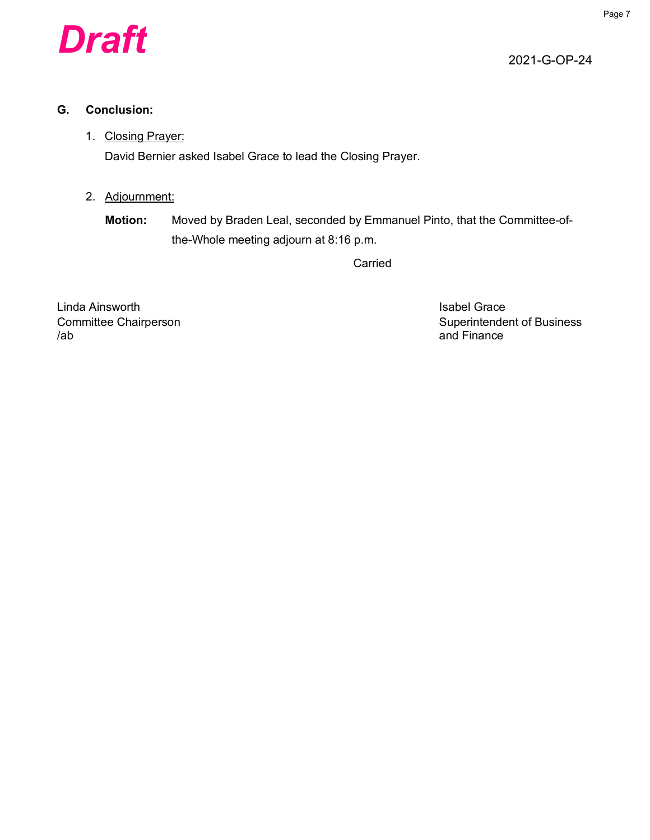

#### **G. Conclusion:**

#### 1. Closing Prayer:

David Bernier asked Isabel Grace to lead the Closing Prayer.

#### 2. Adjournment:

**Motion:** Moved by Braden Leal, seconded by Emmanuel Pinto, that the Committee-ofthe-Whole meeting adjourn at 8:16 p.m.

Carried

Linda Ainsworth **Islands** Crace Contact Contact Crace Isabel Grace /ab and Finance

Committee Chairperson **Superintendent of Business** Superintendent of Business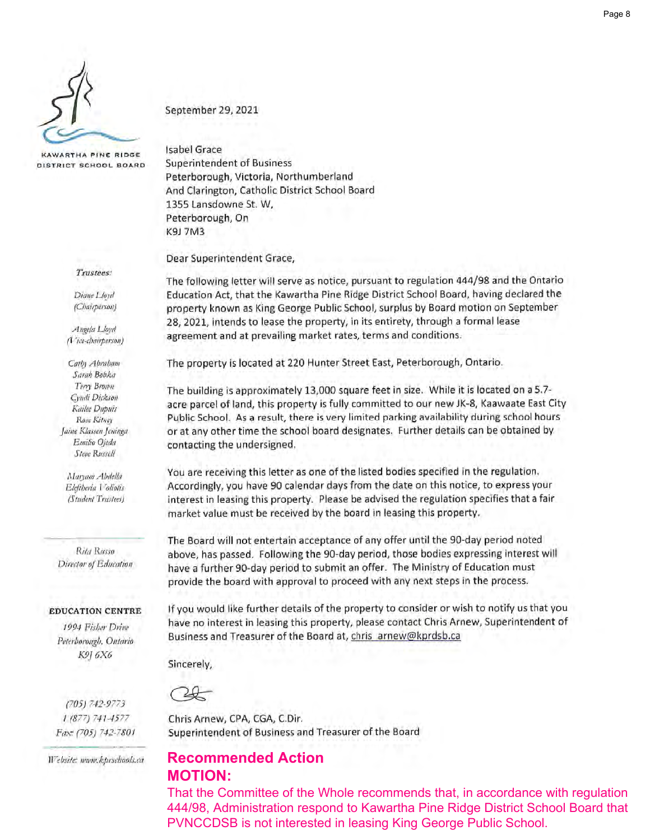<span id="page-7-0"></span>

KAWARTHA PINE RIDGE DISTRICT SCHOOL BOARD

Trustees:

Diane Lloyd (Chairperson)

Angela Lloyd (Vice-chairperson)

Cathy Abraham Sarah Bobka Terry Brown Cyndi Dickson Kailee Dupuis Rose Kitney Jaine Klassen Jeninga Emilio Ojeda Steve Russell

Maryam Abdella Eleftheria Voliotis (Student Trustees)

Rita Russo Director of Education

#### **EDUCATION CENTRE**

1994 Fisher Drive Peterborough, Ontario К9] 6Х6

 $(705) 742 - 9773$  $1(877) 741 - 4577$ Fax: (705) 742-7801

Website: mnow.kprschools.ca

September 29, 2021

**Isabel Grace Superintendent of Business** Peterborough, Victoria, Northumberland And Clarington, Catholic District School Board 1355 Lansdowne St. W, Peterborough, On K9J 7M3

Dear Superintendent Grace,

The following letter will serve as notice, pursuant to regulation 444/98 and the Ontario Education Act, that the Kawartha Pine Ridge District School Board, having declared the property known as King George Public School, surplus by Board motion on September 28, 2021, intends to lease the property, in its entirety, through a formal lease agreement and at prevailing market rates, terms and conditions.

The property is located at 220 Hunter Street East, Peterborough, Ontario.

The building is approximately 13,000 square feet in size. While it is located on a 5.7acre parcel of land, this property is fully committed to our new JK-8, Kaawaate East City Public School. As a result, there is very limited parking availability during school hours or at any other time the school board designates. Further details can be obtained by contacting the undersigned.

You are receiving this letter as one of the listed bodies specified in the regulation. Accordingly, you have 90 calendar days from the date on this notice, to express your interest in leasing this property. Please be advised the regulation specifies that a fair market value must be received by the board in leasing this property.

The Board will not entertain acceptance of any offer until the 90-day period noted above, has passed. Following the 90-day period, those bodies expressing interest will have a further 90-day period to submit an offer. The Ministry of Education must provide the board with approval to proceed with any next steps in the process.

If you would like further details of the property to consider or wish to notify us that you have no interest in leasing this property, please contact Chris Arnew, Superintendent of Business and Treasurer of the Board at, chris\_arnew@kprdsb.ca

Sincerely,

Chris Arnew, CPA, CGA, C.Dir. Superintendent of Business and Treasurer of the Board

#### **Recommended Action MOTION:**

That the Committee of the Whole recommends that, in accordance with regulation 444/98, Administration respond to Kawartha Pine Ridge District School Board that PVNCCDSB is not interested in leasing King George Public School.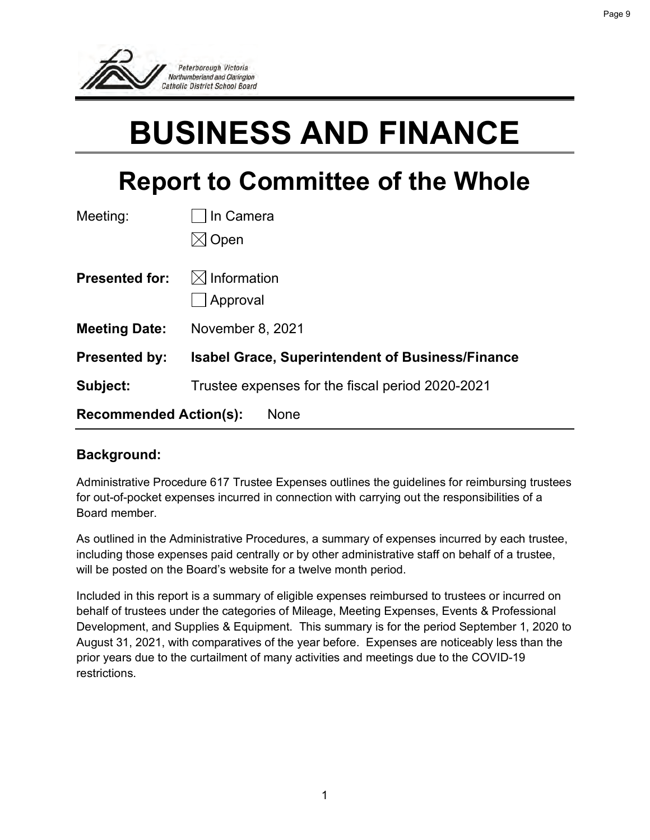<span id="page-8-0"></span>

## **BUSINESS AND FINANCE**

### **Report to Committee of the Whole**

| Meeting:                                     | In Camera                                               |  |  |  |  |  |  |  |  |
|----------------------------------------------|---------------------------------------------------------|--|--|--|--|--|--|--|--|
|                                              | Open                                                    |  |  |  |  |  |  |  |  |
| <b>Presented for:</b>                        | $\boxtimes$ Information                                 |  |  |  |  |  |  |  |  |
|                                              | Approval                                                |  |  |  |  |  |  |  |  |
| <b>Meeting Date:</b>                         | November 8, 2021                                        |  |  |  |  |  |  |  |  |
| <b>Presented by:</b>                         | <b>Isabel Grace, Superintendent of Business/Finance</b> |  |  |  |  |  |  |  |  |
| Subject:                                     | Trustee expenses for the fiscal period 2020-2021        |  |  |  |  |  |  |  |  |
| <b>Recommended Action(s):</b><br><b>None</b> |                                                         |  |  |  |  |  |  |  |  |

#### **Background:**

Administrative Procedure 617 Trustee Expenses outlines the guidelines for reimbursing trustees for out-of-pocket expenses incurred in connection with carrying out the responsibilities of a Board member.

As outlined in the Administrative Procedures, a summary of expenses incurred by each trustee, including those expenses paid centrally or by other administrative staff on behalf of a trustee, will be posted on the Board's website for a twelve month period.

Included in this report is a summary of eligible expenses reimbursed to trustees or incurred on behalf of trustees under the categories of Mileage, Meeting Expenses, Events & Professional Development, and Supplies & Equipment. This summary is for the period September 1, 2020 to August 31, 2021, with comparatives of the year before. Expenses are noticeably less than the prior years due to the curtailment of many activities and meetings due to the COVID-19 restrictions.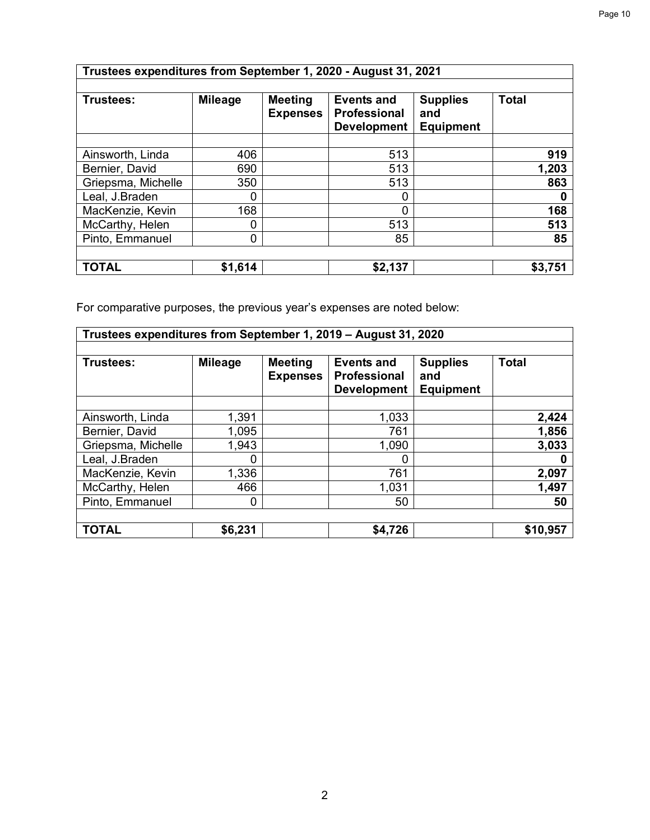| Trustees expenditures from September 1, 2020 - August 31, 2021 |                |                                   |                                                                |                                            |              |  |  |  |  |  |  |
|----------------------------------------------------------------|----------------|-----------------------------------|----------------------------------------------------------------|--------------------------------------------|--------------|--|--|--|--|--|--|
| Trustees:                                                      | <b>Mileage</b> | <b>Meeting</b><br><b>Expenses</b> | <b>Events and</b><br><b>Professional</b><br><b>Development</b> | <b>Supplies</b><br>and<br><b>Equipment</b> | <b>Total</b> |  |  |  |  |  |  |
| Ainsworth, Linda                                               | 406            |                                   | 513                                                            |                                            | 919          |  |  |  |  |  |  |
| Bernier, David                                                 | 690            |                                   | 513                                                            |                                            | 1,203        |  |  |  |  |  |  |
| Griepsma, Michelle                                             | 350            |                                   | 513                                                            |                                            | 863          |  |  |  |  |  |  |
| Leal, J.Braden                                                 | 0              |                                   | 0                                                              |                                            | 0            |  |  |  |  |  |  |
| MacKenzie, Kevin                                               | 168            |                                   | 0                                                              |                                            | 168          |  |  |  |  |  |  |
| McCarthy, Helen                                                | 0              |                                   | 513                                                            |                                            | 513          |  |  |  |  |  |  |
| Pinto, Emmanuel                                                | 0              |                                   | 85                                                             |                                            | 85           |  |  |  |  |  |  |
| <b>TOTAL</b>                                                   | \$1,614        |                                   | \$2,137                                                        |                                            | \$3,751      |  |  |  |  |  |  |

For comparative purposes, the previous year's expenses are noted below:

| Trustees expenditures from September 1, 2019 - August 31, 2020 |                |                                   |                                                         |                                            |              |  |  |  |  |
|----------------------------------------------------------------|----------------|-----------------------------------|---------------------------------------------------------|--------------------------------------------|--------------|--|--|--|--|
| Trustees:                                                      | <b>Mileage</b> | <b>Meeting</b><br><b>Expenses</b> | <b>Events and</b><br>Professional<br><b>Development</b> | <b>Supplies</b><br>and<br><b>Equipment</b> | <b>Total</b> |  |  |  |  |
| Ainsworth, Linda                                               | 1,391          |                                   | 1,033                                                   |                                            | 2,424        |  |  |  |  |
| Bernier, David                                                 | 1,095          |                                   | 761                                                     |                                            | 1,856        |  |  |  |  |
| Griepsma, Michelle                                             | 1,943          |                                   | 1,090                                                   |                                            | 3,033        |  |  |  |  |
| Leal, J.Braden                                                 | 0              |                                   |                                                         |                                            |              |  |  |  |  |
| MacKenzie, Kevin                                               | 1,336          |                                   | 761                                                     |                                            | 2,097        |  |  |  |  |
| McCarthy, Helen                                                | 466            |                                   | 1,031                                                   |                                            | 1,497        |  |  |  |  |
| Pinto, Emmanuel                                                | 0              |                                   | 50                                                      |                                            | 50           |  |  |  |  |
|                                                                |                |                                   |                                                         |                                            |              |  |  |  |  |
| <b>TOTAL</b>                                                   | \$6,231        |                                   | \$4,726                                                 |                                            | \$10,957     |  |  |  |  |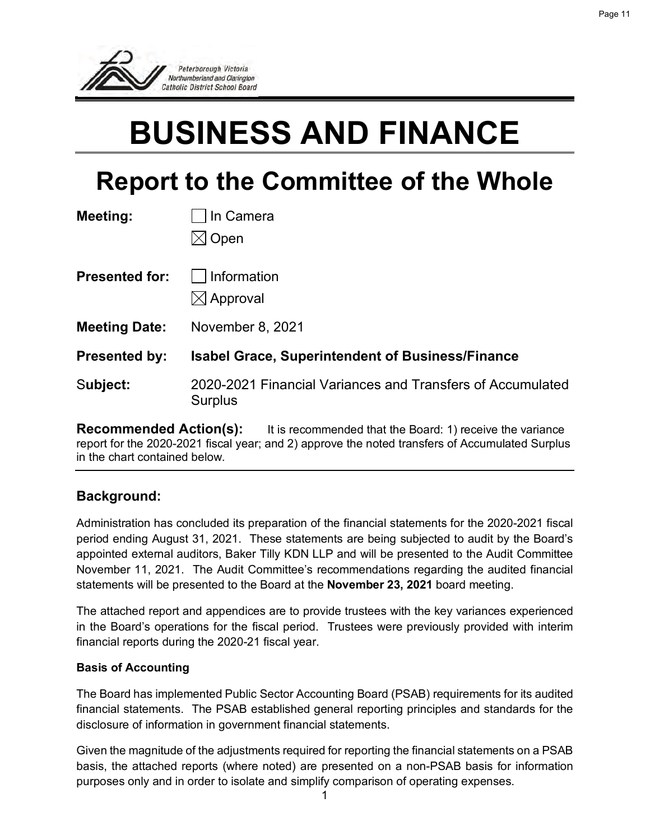

## **BUSINESS AND FINANCE**

## **Report to the Committee of the Whole**

| In Camera<br>Open                                                     |
|-----------------------------------------------------------------------|
| Information<br>$\boxtimes$ Approval                                   |
| November 8, 2021                                                      |
| <b>Isabel Grace, Superintendent of Business/Finance</b>               |
| 2020-2021 Financial Variances and Transfers of Accumulated<br>Surplus |
|                                                                       |

**Recommended Action(s):** It is recommended that the Board: 1) receive the variance report for the 2020-2021 fiscal year; and 2) approve the noted transfers of Accumulated Surplus in the chart contained below.

#### **Background:**

Administration has concluded its preparation of the financial statements for the 2020-2021 fiscal period ending August 31, 2021. These statements are being subjected to audit by the Board's appointed external auditors, Baker Tilly KDN LLP and will be presented to the Audit Committee November 11, 2021. The Audit Committee's recommendations regarding the audited financial statements will be presented to the Board at the **November 23, 2021** board meeting.

The attached report and appendices are to provide trustees with the key variances experienced in the Board's operations for the fiscal period. Trustees were previously provided with interim financial reports during the 2020-21 fiscal year.

#### **Basis of Accounting**

The Board has implemented Public Sector Accounting Board (PSAB) requirements for its audited financial statements. The PSAB established general reporting principles and standards for the disclosure of information in government financial statements.

Given the magnitude of the adjustments required for reporting the financial statements on a PSAB basis, the attached reports (where noted) are presented on a non-PSAB basis for information purposes only and in order to isolate and simplify comparison of operating expenses.

Page 11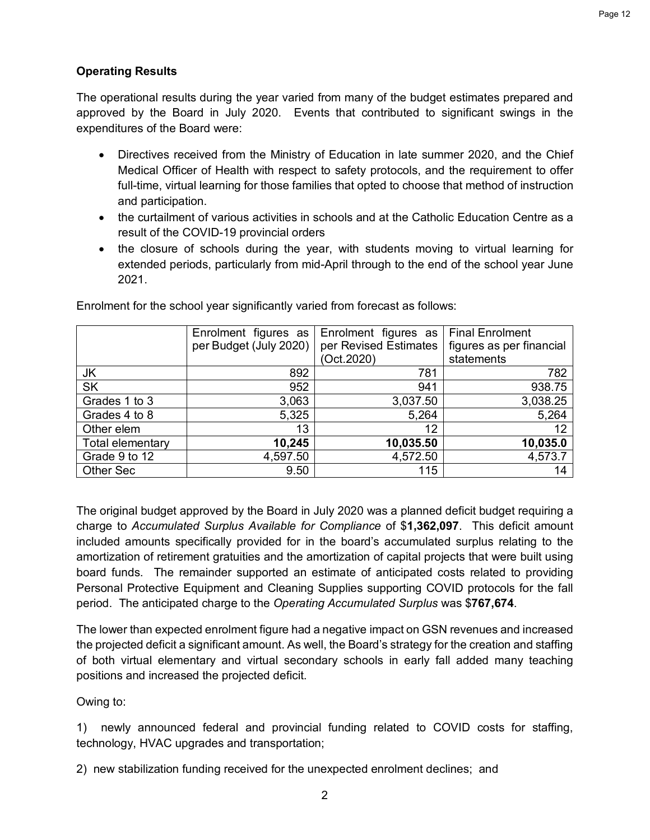#### **Operating Results**

The operational results during the year varied from many of the budget estimates prepared and approved by the Board in July 2020. Events that contributed to significant swings in the expenditures of the Board were:

- Directives received from the Ministry of Education in late summer 2020, and the Chief Medical Officer of Health with respect to safety protocols, and the requirement to offer full-time, virtual learning for those families that opted to choose that method of instruction and participation.
- the curtailment of various activities in schools and at the Catholic Education Centre as a result of the COVID-19 provincial orders
- the closure of schools during the year, with students moving to virtual learning for extended periods, particularly from mid-April through to the end of the school year June 2021.

|                  | Enrolment figures as   | Enrolment figures as   Final Enrolment |                          |
|------------------|------------------------|----------------------------------------|--------------------------|
|                  | per Budget (July 2020) | per Revised Estimates                  | figures as per financial |
|                  |                        | (Oct.2020)                             | statements               |
| JK               | 892                    | 781                                    | 782                      |
| <b>SK</b>        | 952                    | 941                                    | 938.75                   |
| Grades 1 to 3    | 3,063                  | 3,037.50                               | 3,038.25                 |
| Grades 4 to 8    | 5,325                  | 5,264                                  | 5,264                    |
| Other elem       | 13                     | 12                                     | 12                       |
| Total elementary | 10,245                 | 10,035.50                              | 10,035.0                 |
| Grade 9 to 12    | 4,597.50               | 4,572.50                               | 4,573.7                  |
| Other Sec        | 9.50                   | 115                                    | 14                       |

Enrolment for the school year significantly varied from forecast as follows:

The original budget approved by the Board in July 2020 was a planned deficit budget requiring a charge to *Accumulated Surplus Available for Compliance* of \$**1,362,097**. This deficit amount included amounts specifically provided for in the board's accumulated surplus relating to the amortization of retirement gratuities and the amortization of capital projects that were built using board funds. The remainder supported an estimate of anticipated costs related to providing Personal Protective Equipment and Cleaning Supplies supporting COVID protocols for the fall period. The anticipated charge to the *Operating Accumulated Surplus* was \$**767,674**.

The lower than expected enrolment figure had a negative impact on GSN revenues and increased the projected deficit a significant amount. As well, the Board's strategy for the creation and staffing of both virtual elementary and virtual secondary schools in early fall added many teaching positions and increased the projected deficit.

#### Owing to:

1) newly announced federal and provincial funding related to COVID costs for staffing, technology, HVAC upgrades and transportation;

2) new stabilization funding received for the unexpected enrolment declines; and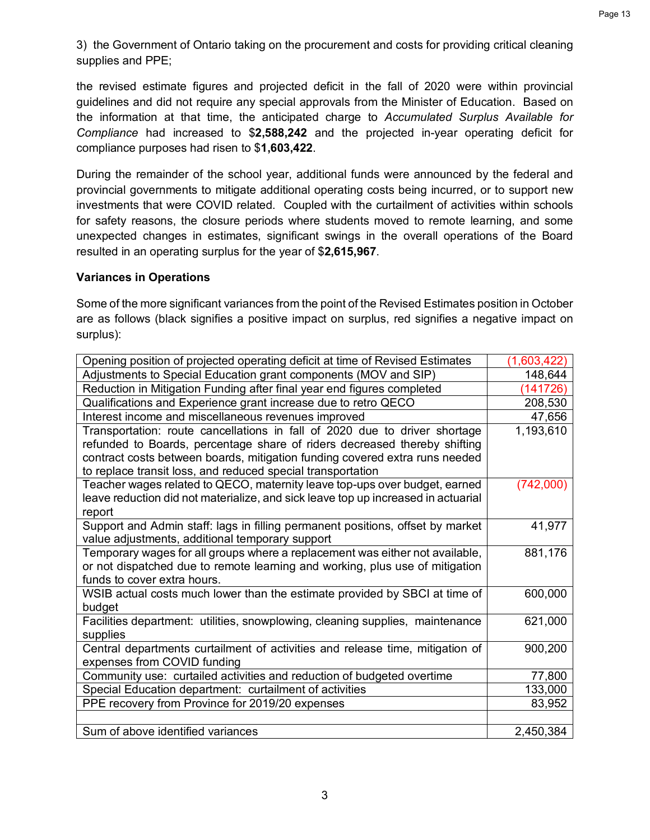3) the Government of Ontario taking on the procurement and costs for providing critical cleaning supplies and PPE;

the revised estimate figures and projected deficit in the fall of 2020 were within provincial guidelines and did not require any special approvals from the Minister of Education. Based on the information at that time, the anticipated charge to *Accumulated Surplus Available for Compliance* had increased to \$**2,588,242** and the projected in-year operating deficit for compliance purposes had risen to \$**1,603,422**.

During the remainder of the school year, additional funds were announced by the federal and provincial governments to mitigate additional operating costs being incurred, or to support new investments that were COVID related. Coupled with the curtailment of activities within schools for safety reasons, the closure periods where students moved to remote learning, and some unexpected changes in estimates, significant swings in the overall operations of the Board resulted in an operating surplus for the year of \$**2,615,967**.

#### **Variances in Operations**

Some of the more significant variances from the point of the Revised Estimates position in October are as follows (black signifies a positive impact on surplus, red signifies a negative impact on surplus):

| Opening position of projected operating deficit at time of Revised Estimates      | (1,603,422) |
|-----------------------------------------------------------------------------------|-------------|
| Adjustments to Special Education grant components (MOV and SIP)                   | 148,644     |
| Reduction in Mitigation Funding after final year end figures completed            | (141726)    |
| Qualifications and Experience grant increase due to retro QECO                    | 208,530     |
| Interest income and miscellaneous revenues improved                               | 47,656      |
| Transportation: route cancellations in fall of 2020 due to driver shortage        | 1,193,610   |
| refunded to Boards, percentage share of riders decreased thereby shifting         |             |
| contract costs between boards, mitigation funding covered extra runs needed       |             |
| to replace transit loss, and reduced special transportation                       |             |
| Teacher wages related to QECO, maternity leave top-ups over budget, earned        | (742,000)   |
| leave reduction did not materialize, and sick leave top up increased in actuarial |             |
| report                                                                            |             |
| Support and Admin staff: lags in filling permanent positions, offset by market    | 41,977      |
| value adjustments, additional temporary support                                   |             |
| Temporary wages for all groups where a replacement was either not available,      | 881,176     |
| or not dispatched due to remote learning and working, plus use of mitigation      |             |
| funds to cover extra hours.                                                       |             |
| WSIB actual costs much lower than the estimate provided by SBCI at time of        | 600,000     |
| budget                                                                            |             |
| Facilities department: utilities, snowplowing, cleaning supplies, maintenance     | 621,000     |
| supplies                                                                          |             |
| Central departments curtailment of activities and release time, mitigation of     | 900,200     |
| expenses from COVID funding                                                       |             |
| Community use: curtailed activities and reduction of budgeted overtime            | 77,800      |
| Special Education department: curtailment of activities                           | 133,000     |
| PPE recovery from Province for 2019/20 expenses                                   | 83,952      |
|                                                                                   |             |
| Sum of above identified variances                                                 | 2,450,384   |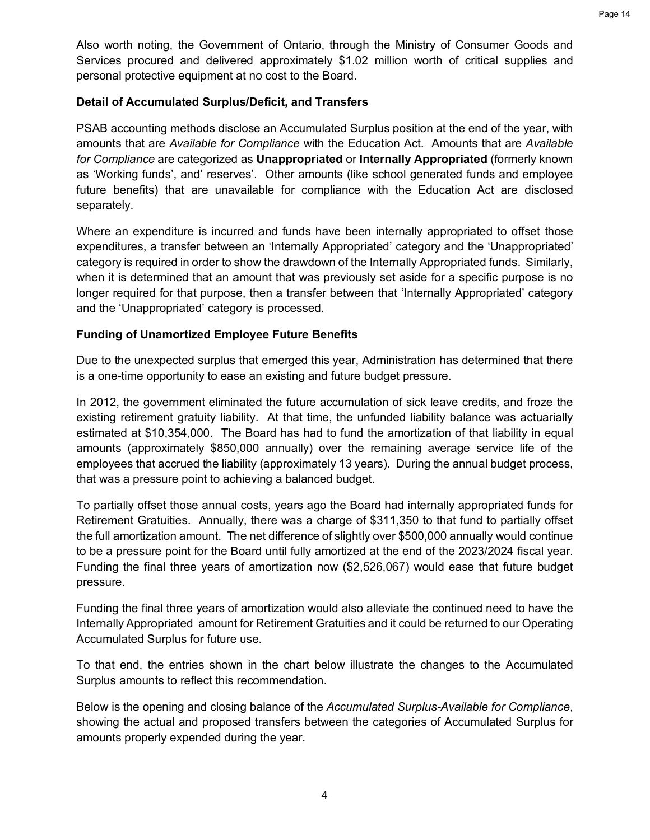Also worth noting, the Government of Ontario, through the Ministry of Consumer Goods and Services procured and delivered approximately \$1.02 million worth of critical supplies and personal protective equipment at no cost to the Board.

#### **Detail of Accumulated Surplus/Deficit, and Transfers**

PSAB accounting methods disclose an Accumulated Surplus position at the end of the year, with amounts that are *Available for Compliance* with the Education Act. Amounts that are *Available for Compliance* are categorized as **Unappropriated** or **Internally Appropriated** (formerly known as 'Working funds', and' reserves'. Other amounts (like school generated funds and employee future benefits) that are unavailable for compliance with the Education Act are disclosed separately.

Where an expenditure is incurred and funds have been internally appropriated to offset those expenditures, a transfer between an 'Internally Appropriated' category and the 'Unappropriated' category is required in order to show the drawdown of the Internally Appropriated funds. Similarly, when it is determined that an amount that was previously set aside for a specific purpose is no longer required for that purpose, then a transfer between that 'Internally Appropriated' category and the 'Unappropriated' category is processed.

#### **Funding of Unamortized Employee Future Benefits**

Due to the unexpected surplus that emerged this year, Administration has determined that there is a one-time opportunity to ease an existing and future budget pressure.

In 2012, the government eliminated the future accumulation of sick leave credits, and froze the existing retirement gratuity liability. At that time, the unfunded liability balance was actuarially estimated at \$10,354,000. The Board has had to fund the amortization of that liability in equal amounts (approximately \$850,000 annually) over the remaining average service life of the employees that accrued the liability (approximately 13 years). During the annual budget process, that was a pressure point to achieving a balanced budget.

To partially offset those annual costs, years ago the Board had internally appropriated funds for Retirement Gratuities. Annually, there was a charge of \$311,350 to that fund to partially offset the full amortization amount. The net difference of slightly over \$500,000 annually would continue to be a pressure point for the Board until fully amortized at the end of the 2023/2024 fiscal year. Funding the final three years of amortization now (\$2,526,067) would ease that future budget pressure.

Funding the final three years of amortization would also alleviate the continued need to have the Internally Appropriated amount for Retirement Gratuities and it could be returned to our Operating Accumulated Surplus for future use.

To that end, the entries shown in the chart below illustrate the changes to the Accumulated Surplus amounts to reflect this recommendation.

Below is the opening and closing balance of the *Accumulated Surplus-Available for Compliance*, showing the actual and proposed transfers between the categories of Accumulated Surplus for amounts properly expended during the year.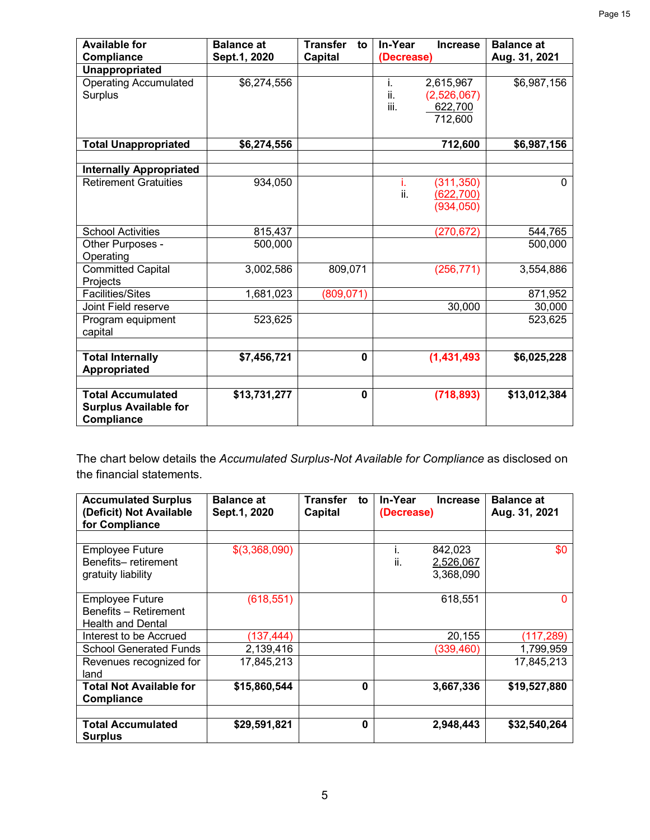| <b>Available for</b><br><b>Compliance</b>                              | <b>Balance at</b><br>Sept.1, 2020 | <b>Transfer</b><br>to<br><b>Capital</b> | In-Year<br>(Decrease) | <b>Increase</b>                                | <b>Balance at</b><br>Aug. 31, 2021 |
|------------------------------------------------------------------------|-----------------------------------|-----------------------------------------|-----------------------|------------------------------------------------|------------------------------------|
| Unappropriated                                                         |                                   |                                         |                       |                                                |                                    |
| <b>Operating Accumulated</b><br><b>Surplus</b>                         | \$6,274,556                       |                                         | i.<br>ii.<br>iii.     | 2,615,967<br>(2,526,067)<br>622,700<br>712,600 | \$6,987,156                        |
| <b>Total Unappropriated</b>                                            | \$6,274,556                       |                                         |                       | 712,600                                        | \$6,987,156                        |
| <b>Internally Appropriated</b>                                         |                                   |                                         |                       |                                                |                                    |
| <b>Retirement Gratuities</b>                                           | 934,050                           |                                         | i.<br>ii.             | (311, 350)<br><u>(622,700)</u><br>(934, 050)   | $\Omega$                           |
| <b>School Activities</b>                                               | 815,437                           |                                         |                       | (270, 672)                                     | 544,765                            |
| Other Purposes -<br>Operating                                          | 500,000                           |                                         |                       |                                                | 500,000                            |
| <b>Committed Capital</b><br>Projects                                   | 3,002,586                         | 809,071                                 |                       | (256, 771)                                     | 3,554,886                          |
| <b>Facilities/Sites</b>                                                | 1,681,023                         | (809, 071)                              |                       |                                                | 871,952                            |
| Joint Field reserve                                                    |                                   |                                         |                       | 30,000                                         | 30,000                             |
| Program equipment<br>capital                                           | 523,625                           |                                         |                       |                                                | 523,625                            |
| <b>Total Internally</b><br>Appropriated                                | \$7,456,721                       | $\mathbf 0$                             |                       | (1,431,493)                                    | \$6,025,228                        |
| <b>Total Accumulated</b><br><b>Surplus Available for</b><br>Compliance | \$13,731,277                      | $\bf{0}$                                |                       | (718, 893)                                     | \$13,012,384                       |

The chart below details the *Accumulated Surplus-Not Available for Compliance* as disclosed on the financial statements.

| <b>Accumulated Surplus</b><br>(Deficit) Not Available | <b>Balance at</b><br>Sept.1, 2020 | <b>Transfer</b><br>to<br><b>Capital</b> | In-Year<br>(Decrease) | <b>Balance at</b><br><b>Increase</b><br>Aug. 31, 2021 |
|-------------------------------------------------------|-----------------------------------|-----------------------------------------|-----------------------|-------------------------------------------------------|
| for Compliance                                        |                                   |                                         |                       |                                                       |
|                                                       |                                   |                                         |                       |                                                       |
| <b>Employee Future</b>                                | \$(3,368,090)                     |                                         | ı.                    | \$0<br>842,023                                        |
| Benefits-retirement                                   |                                   |                                         | ii.                   | 2,526,067                                             |
| gratuity liability                                    |                                   |                                         |                       | 3,368,090                                             |
|                                                       |                                   |                                         |                       |                                                       |
| <b>Employee Future</b>                                | (618, 551)                        |                                         |                       | 618,551                                               |
| Benefits - Retirement                                 |                                   |                                         |                       |                                                       |
| <b>Health and Dental</b>                              |                                   |                                         |                       |                                                       |
| Interest to be Accrued                                | (137, 444)                        |                                         |                       | 20,155<br>(117, 289)                                  |
| <b>School Generated Funds</b>                         | 2,139,416                         |                                         |                       | (339,460)<br>1,799,959                                |
| Revenues recognized for                               | 17,845,213                        |                                         |                       | 17,845,213                                            |
| land                                                  |                                   |                                         |                       |                                                       |
| <b>Total Not Available for</b>                        | \$15,860,544                      | 0                                       |                       | \$19,527,880<br>3,667,336                             |
| Compliance                                            |                                   |                                         |                       |                                                       |
|                                                       |                                   |                                         |                       |                                                       |
| <b>Total Accumulated</b><br><b>Surplus</b>            | \$29,591,821                      | 0                                       |                       | 2,948,443<br>\$32,540,264                             |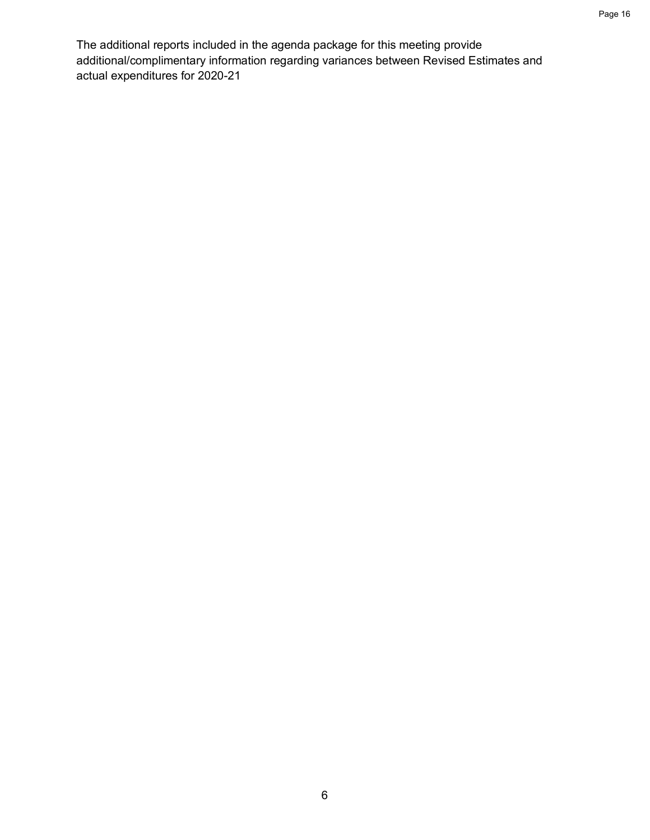The additional reports included in the agenda package for this meeting provide additional/complimentary information regarding variances between Revised Estimates and actual expenditures for 2020-21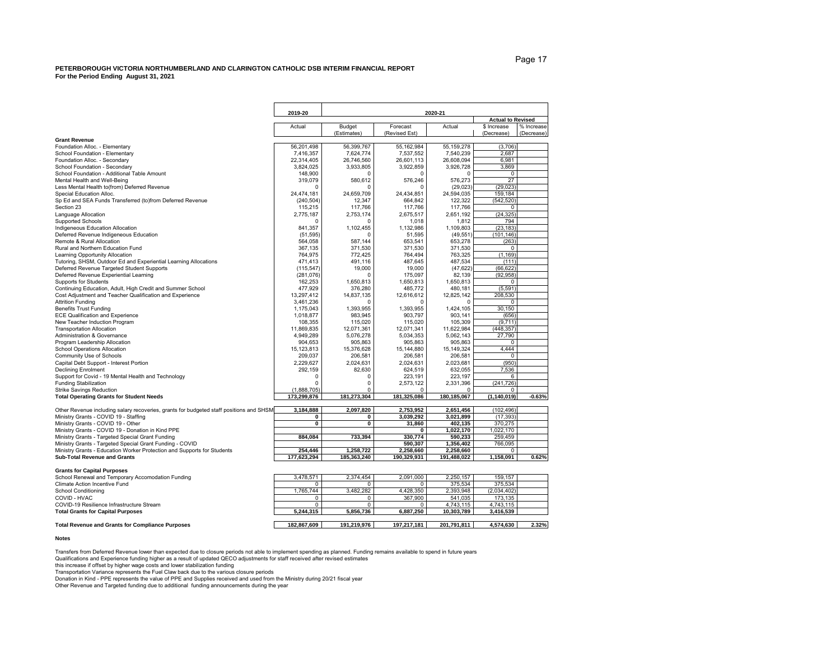|                                                                                         | 2019-20     | 2020-21     |               |              |                          |            |  |  |
|-----------------------------------------------------------------------------------------|-------------|-------------|---------------|--------------|--------------------------|------------|--|--|
|                                                                                         |             |             |               |              | <b>Actual to Revised</b> |            |  |  |
|                                                                                         | Actual      | Budget      | Forecast      | Actual       | \$ Increase              | % Increase |  |  |
|                                                                                         |             | (Estimates) | (Revised Est) |              | (Decrease)               | (Decrease) |  |  |
| <b>Grant Revenue</b>                                                                    |             |             |               |              |                          |            |  |  |
| Foundation Alloc. - Elementary                                                          | 56,201,498  | 56,399,767  | 55, 162, 984  | 55, 159, 278 | (3,706)                  |            |  |  |
| School Foundation - Elementary                                                          | 7,416,357   | 7,624,774   | 7,537,552     | 7,540,239    | 2,687                    |            |  |  |
| Foundation Alloc. - Secondary                                                           | 22,314,405  | 26.746.560  | 26.601.113    | 26.608.094   | 6.981                    |            |  |  |
| School Foundation - Secondary                                                           | 3,824,025   | 3,933,805   | 3,922,859     | 3,926,728    | 3,869                    |            |  |  |
| School Foundation - Additional Table Amount                                             | 148,900     | O           | $\Omega$      | $\Omega$     | 0                        |            |  |  |
| Mental Health and Well-Being                                                            | 319,079     | 580,612     | 576,246       | 576,273      | 27                       |            |  |  |
| Less Mental Health to(from) Deferred Revenue                                            | O           | $\Omega$    | $\Omega$      | (29, 023)    | (29, 023)                |            |  |  |
| Special Education Alloc.                                                                | 24,474,181  | 24,659,709  | 24,434,851    | 24,594,035   | 159,184                  |            |  |  |
| Sp Ed and SEA Funds Transferred (to)from Deferred Revenue                               | (240, 504)  | 12.347      | 664.842       | 122,322      | (542, 520)               |            |  |  |
| Section 23                                                                              | 115,215     | 117,766     | 117,766       | 117,766      | 0                        |            |  |  |
| Language Allocation                                                                     | 2,775,187   | 2,753,174   | 2,675,517     | 2,651,192    | (24, 325)                |            |  |  |
| Supported Schools                                                                       | ſ           | n           | 1,018         | 1,812        | 794                      |            |  |  |
| Indigeneous Education Allocation                                                        | 841,357     | 1,102,455   | 1,132,986     | 1,109,803    | (23, 183)                |            |  |  |
| Deferred Revenue Indigeneous Education                                                  | (51, 595)   | O           | 51.595        | (49, 551)    | (101.146)                |            |  |  |
| Remote & Rural Allocation                                                               | 564,058     | 587,144     | 653,541       | 653,278      | (263)                    |            |  |  |
| Rural and Northern Education Fund                                                       | 367,135     | 371,530     | 371,530       | 371,530      | 0                        |            |  |  |
| Learning Opportunity Allocation                                                         | 764,975     | 772,425     | 764,494       | 763,325      | (1, 169)                 |            |  |  |
| Tutoring, SHSM, Outdoor Ed and Experiential Learning Allocations                        | 471,413     | 491,116     | 487.645       | 487,534      | (111)                    |            |  |  |
| Deferred Revenue Targeted Student Supports                                              | (115.547)   | 19,000      | 19,000        | (47, 622)    | (66, 622)                |            |  |  |
| Deferred Revenue Experiential Learning                                                  | (281, 076)  | $\Omega$    | 175.097       | 82.139       | (92.958)                 |            |  |  |
| Supports for Students                                                                   | 162,253     | 1,650,813   | 1,650,813     | 1,650,813    | 0                        |            |  |  |
| Continuing Education, Adult, High Credit and Summer School                              | 477,929     | 376,280     | 485,772       | 480,181      | (5, 591)                 |            |  |  |
| Cost Adjustment and Teacher Qualification and Experience                                | 13,297,412  | 14,837,135  | 12,616,612    | 12,825,142   | 208,530                  |            |  |  |
| <b>Attrition Funding</b>                                                                | 3,461,236   | $\Omega$    | $\Omega$      | $\Omega$     | 0                        |            |  |  |
| <b>Benefits Trust Funding</b>                                                           | 1,175,043   | 1,393,955   | 1,393,955     | 1,424,105    | 30,150                   |            |  |  |
| <b>ECE Qualification and Experience</b>                                                 | 1,018,877   | 983,945     | 903,797       | 903,141      | (656)                    |            |  |  |
| New Teacher Induction Program                                                           | 108,355     | 115,020     | 115,020       | 105,309      | (9, 711)                 |            |  |  |
| <b>Transportation Allocation</b>                                                        | 11,869,835  | 12,071,361  | 12,071,341    | 11,622,984   | (448, 357)               |            |  |  |
| <b>Administration &amp; Governance</b>                                                  | 4,949,289   | 5,076,278   | 5,034,353     | 5.062.143    | 27,790                   |            |  |  |
| Program Leadership Allocation                                                           | 904,653     | 905.863     | 905.863       | 905.863      | 0                        |            |  |  |
| School Operations Allocation                                                            | 15,123,813  | 15.376.628  | 15.144.880    | 15.149.324   | 4,444                    |            |  |  |
| Community Use of Schools                                                                | 209,037     | 206,581     | 206,581       | 206,581      | 0                        |            |  |  |
| Capital Debt Support - Interest Portion                                                 | 2,229,627   | 2,024,631   | 2,024,631     | 2,023,681    | (950)                    |            |  |  |
| <b>Declining Enrolment</b>                                                              | 292,159     | 82,630      | 624,519       | 632,055      | 7,536                    |            |  |  |
| Support for Covid - 19 Mental Health and Technology                                     | $\Omega$    | $\Omega$    | 223.191       | 223.197      | 6                        |            |  |  |
| <b>Funding Stabilization</b>                                                            | O           | 0           | 2,573,122     | 2,331,396    | (241, 726)               |            |  |  |
| <b>Strike Savings Reduction</b>                                                         | (1,888,705) | $\Omega$    | $\Omega$      | O            | 0                        |            |  |  |
| <b>Total Operating Grants for Student Needs</b>                                         | 173,299,876 | 181,273,304 | 181,325,086   | 180,185,067  | (1, 140, 019)            | $-0.63%$   |  |  |
|                                                                                         |             |             |               |              |                          |            |  |  |
| Other Revenue including salary recoveries, grants for budgeted staff positions and SHSM | 3,184,888   | 2,097,820   | 2,753,952     | 2,651,456    | (102, 496)               |            |  |  |
| Ministry Grants - COVID 19 - Staffing                                                   | 0           | 0           | 3,039,292     | 3,021,899    | (17.393)                 |            |  |  |
| Ministry Grants - COVID 19 - Other                                                      | $\mathbf 0$ | $\mathbf 0$ | 31.860        | 402,135      | 370,275                  |            |  |  |
| Ministry Grants - COVID 19 - Donation in Kind PPE                                       |             |             | 0             | 1,022,170    | 1,022,170                |            |  |  |
| Ministry Grants - Targeted Special Grant Funding                                        | 884,084     | 733,394     | 330,774       | 590,233      | 259,459                  |            |  |  |
| Ministry Grants - Targeted Special Grant Funding - COVID                                |             |             | 590,307       | 1,356,402    | 766,095                  |            |  |  |
| Ministry Grants - Education Worker Protection and Supports for Students                 | 254,446     | 1,258,722   | 2,258,660     | 2,258,660    | $\Omega$                 |            |  |  |
| <b>Sub-Total Revenue and Grants</b>                                                     | 177,623,294 | 185,363,240 | 190,329,931   | 191,488,022  | 1,158,091                | 0.62%      |  |  |
|                                                                                         |             |             |               |              |                          |            |  |  |
| <b>Grants for Capital Purposes</b>                                                      |             |             |               |              |                          |            |  |  |
| School Renewal and Temporary Accomodation Funding                                       | 3,478,571   | 2,374,454   | 2,091,000     | 2,250,157    | 159,157                  |            |  |  |
| Climate Action Incentive Fund                                                           | n           | $\Omega$    | 0             | 375,534      | 375,534                  |            |  |  |
| <b>School Conditioning</b>                                                              | 1,765,744   | 3.482.282   | 4.428.350     | 2.393.948    | (2,034,402)              |            |  |  |
| COVID - HVAC                                                                            | 0           | 0           | 367,900       | 541,035      | 173,135                  |            |  |  |
| COVID-19 Resilience Infrastructure Stream                                               | 0           | 0           | 0             | 4,743,115    | 4,743,115                |            |  |  |
| <b>Total Grants for Capital Purposes</b>                                                | 5,244,315   | 5,856,736   | 6,887,250     | 10,303,789   | 3,416,539                |            |  |  |

#### **Total Revenue and Grants for Compliance Purposes 182,867,609 191,219,976 197,217,181 201,791,811 4,574,630 2.32%**

#### **Notes**

Transfers from Deferred Revenue lower than expected due to closure periods not able to implement spending as planned. Funding remains available to spend in future years Qualifications and Experience funding higher as a result of updated QECO adjustments for staff received after revised estimates

this increase if offset by higher wage costs and lower stabilization funding

Transportation Variance represents the Fuel Claw back due to the various closure periods

Donation in Kind - PPE represents the value of PPE and Supplies received and used from the Ministry during 20/21 fiscal year

Other Revenue and Targeted funding due to additional funding announcements during the year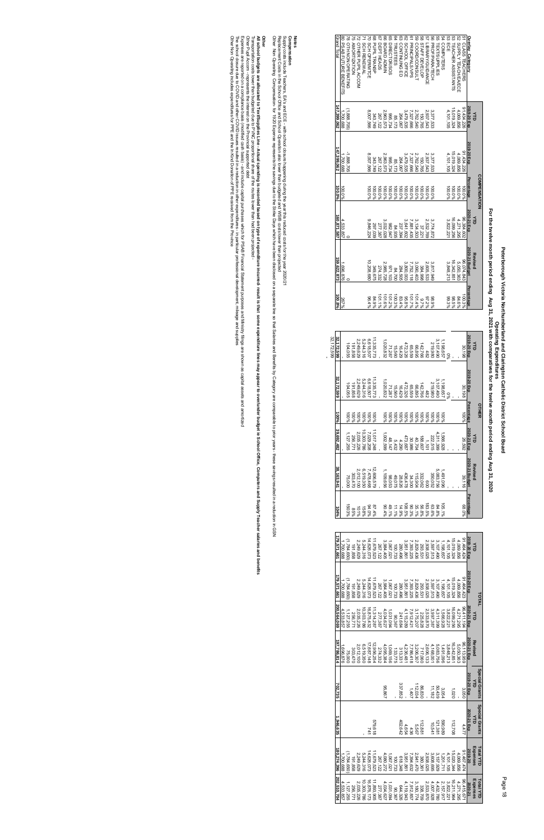| 32.172.599 | 32,172,599  |           | 104,055                  | 191,858 |                               | 5,244,316<br>2,249,629 |            | 11,335,773<br>6,618,507                          |                      | 1,020,832 | 71,287              | 15,560  | 16,429                                                         | 472,326            | 65,559                                                                                                |                   | 142,766<br>66,895                 | 482       | 219,980                                                                                                                 | 3, 107, 490     |                                                   | $\frac{0\%}{1,198,657}$ |            |           | 30,198                    | 2019-20 Exp    | ₹        |                  |
|------------|-------------|-----------|--------------------------|---------|-------------------------------|------------------------|------------|--------------------------------------------------|----------------------|-----------|---------------------|---------|----------------------------------------------------------------|--------------------|-------------------------------------------------------------------------------------------------------|-------------------|-----------------------------------|-----------|-------------------------------------------------------------------------------------------------------------------------|-----------------|---------------------------------------------------|-------------------------|------------|-----------|---------------------------|----------------|----------|------------------|
|            | 32,172,599  |           | 104,055                  | 191,858 |                               | 5,244,316<br>2,249,629 |            | 11,335,773<br>6,618,507                          |                      | 1,020,832 | 71,287              |         | 16,429<br>15,560                                               |                    | 65,559<br>472,326                                                                                     |                   | 142,766<br>66,895                 | 482       | 219,980                                                                                                                 | 3,107,490       | 1,198,657                                         |                         |            |           | 30,198                    | 2019-20 Exp    |          |                  |
|            | 100%        |           | $-00\%$                  | 100%    | 100%                          | 96001                  | $-00\%$    | $-00\%$                                          |                      | 100%      | 100%                | 100%    | $-00\%$                                                        | 100%               | 100%<br>100%                                                                                          |                   |                                   | 100%      | 100%                                                                                                                    | $-00\%$         | 100%                                              |                         |            |           | 100%                      | Percentage     |          | OTHER            |
|            | 39,692,482  |           | 1, 127, 255              | 256,771 | 2,035,226                     | 0,303,786              | 7,029,208  | 11,017,248                                       |                      | 1,002,599 | 48,147              |         | 4,290<br>5,432                                                 | 473,687            | 30,986                                                                                                | 40,704            | 188,607                           | 1,101     | 222,515                                                                                                                 | 311,399         | ,566,928                                          |                         |            |           | 26,592                    | 2020-21 Exp    | ₹        |                  |
|            | 38,163,941  |           | 75,000                   | 303,470 |                               | 6,519,350<br>2,012,100 |            | 12,606,579<br>7,478,468                          |                      | 1,109,656 | 88,053              | 49,075  | 28,826                                                         | 436,478            | 34,300                                                                                                |                   | 332,062<br>332,062<br>115,904     |           | 350,052                                                                                                                 | 5,083,756       | l,491,096                                         |                         |            |           | 39,116                    | 2020-21 Budget | Revised  |                  |
|            | 104%        |           | 1503%                    | 85%     | $-01%$                        | 158%                   |            | 87.4%<br>%4.0%                                   |                      | 90.4%     | 49.1%               | 11.1%   | 14.9%                                                          |                    | $35.1\%$<br>90.3%<br>108.5%                                                                           |                   | 56.8%                             | 183.5%    | 63.6%                                                                                                                   | 84.8%           | 105.1%                                            |                         |            |           | 960.89                    | Percentage     |          |                  |
|            | 179,571,661 | 1,700,688 | (1,784,650)              | 191,858 | 2,249,629                     | 5,244,316              | 14,626,073 | 11,679,523                                       | 267,122              | 3,984,405 | 1,067,021           | 100,733 | 280,496                                                        | 3,951,861          | 7,393,225                                                                                             | 2,829,436         | 293,53                            | 2,938,025 | 3,597,513                                                                                                               | 3, 107, 490     | 1,198,657                                         | 4, 101, 105             | 5,019,324  | 4,069,856 | 91,464,424                | 2019-20 Exp    | ₹        |                  |
|            | 179,571,661 |           | (1,784,650)<br>1,700,688 | 191,858 | 2,249,629                     | 5,244,316              | 14,626,073 | 11,679,523                                       | 267,122              | 3,984,405 | 1,067,021           | 100,733 | 280,496                                                        | 3,951,861          | 7,393,225                                                                                             | 2,829,436         | 293,531                           | 2,938,025 | 3,597,513                                                                                                               | 3,107,490       | 1,198,657                                         | 4,101,105               | 15,019,324 | 4,069,856 | 91,464,423                | 2019-20 Exp    |          | TOTAL            |
|            | 200,564,069 | 4,533,857 | 1, 127, 255              | 256,77  | 10,303,786<br>2,035,226       |                        | 6,875,432  | 11,314,287                                       | 277,38               | 4,034,627 | 1,031,094           | 90,367  | 241,684                                                        | 4,115,289          | 7,912,421                                                                                             | 3,175,207         | 225,828                           | 2,533,870 | 3,997,38                                                                                                                | 4,311,399       | 556,928                                           | 3,822,22                | 16,099,25  | 4,271,295 | 96,411,194                | 2020-21 Exp    | ミ        |                  |
|            | 97,786,814  | 1,696,876 | 75,000                   | 303,470 |                               | 6,519,350<br>2,012,100 | 17,687,148 | 12,956,254                                       | 274,332              | 4,095,384 | 1,069,156           | 133,775 | 313,33                                                         | 4,236,481          | 7,786,418                                                                                             |                   | 2,606,133<br>717,060<br>3,206,307 |           | 4,168,001                                                                                                               | 5,083,756       | 1,491,096                                         | 3,848,213               | 16,342,85  | 5,050,363 | 2020-21 Exp<br>96,113,959 |                | levised  |                  |
|            | 702,735     |           |                          |         |                               |                        |            |                                                  |                      | 198'96    |                     |         | 337,852                                                        |                    | 140                                                                                                   | 86,830<br>112,034 |                                   |           | 11,182                                                                                                                  | 3,054<br>50,439 |                                                   |                         | 1,020      |           | 3,050                     | 2019-20 Exp    | ₹        | Special Grants   |
|            | 1,946,635   |           |                          |         |                               |                        | 74.        | 579,618                                          |                      |           |                     |         | 402,642                                                        | $4,654$<br>$4,654$ |                                                                                                       | 112,881<br>5,567  |                                   |           | 10,541                                                                                                                  | 121,381         | 686'069                                           |                         | 112,708    |           | 4,477                     | 2020-21 Exp    | ₹        | Special Grants   |
|            | 180,274,396 | ,700,688  | 1,784,650                | 191,858 | 2,249,629                     | 5,244,316              | 14,626,073 | 11,679,523                                       | 4,080,272<br>267,122 |           |                     |         | $\begin{array}{c} 618,348 \\ 100,733 \\ 1,067,021 \end{array}$ |                    | $\begin{array}{l} 380,361 \\ 2,941,470 \\ 7,394,632 \\ 3,951,861 \end{array}$                         |                   |                                   |           | $4$ , $698,866$<br>$4$ , $6020,34$<br>$4$ , $720,17$ , $200,66$<br>$3,600,66$<br>$3,600,66$<br>$3,600,60$<br>$3,600,60$ |                 |                                                   |                         |            |           | 91,467,474                | 2019-20        | Expenses | <b>Total YTD</b> |
|            | 202,510,704 | 4,533,857 | 1,127,255                | 256,771 | $10, 303, 786$<br>2, 035, 226 |                        |            | 4,034,627<br>277,387<br>11,893,905<br>16,876,173 |                      |           | 90,367<br>1,031,094 |         |                                                                |                    | $\begin{array}{l} 338,709 \\ 3,180,774 \\ 7,912,857 \\ 7,912,857 \\ 4,119,943 \\ 644,326 \end{array}$ |                   |                                   | 2,533,870 | 4,432,780<br>4,007,928                                                                                                  |                 | 4,271,295<br>16,211,964<br>3,822,221<br>2,157,917 |                         |            |           | 96,415,671                | 2020-21        | Expenses | <b>Total YTD</b> |

Other Pupil Accom - represents the interest on the Provincial supported debt Other Pupil Accom - represents the interest on the Provincial supported debt

Transportation costs lower than budgeted due to PVNC proportional share of the routes lower than had been projected - All school budgets are allocated Upplies Line - Actual spending is recorded based on type of expenditure lines may appear to over/under budget ie School Office, Computers and Supply Teacher salaries and benetits All school budget ie School Differs Line- Actual specifiers in expead on type some list is that coorded based on type of expenditure incurred- result is that any appear to over/under is that a some state of Differs, Comput iransportation costs lower than budgeted due to PVNC proportional share of the routes lower than had been projected

Expenses are reported on a compliance basis (modified cash basis) - and include capital purchases which for PSAB Financial Statement purposes and Ministry filings are shown as capital assets and amortized

Supply costs include Teachers, EA's and ECE - with school closure happening during the year this reduced costs for the year 2020/2 Supply costs include Teachers, EA's and ECE - with school closure happening during the year this reduced costs for the year 2020/21

78 OTH NON OPERATING

(1,888,705) -1,888,705

 $(1,888,705)$ <br> $1,700,688$ 

80 PSAB FUTURE BENEFITS

80. PSAB FUTURE BENEFITS 78 OTH NON OPERATING

1,700,688 1,700,688

100.0%

100.0%

 $\circ$ 

4,533,857

1,696,876

267%

Grand Total

rand Total

**147,399,062**

147,399,062

**147,399,062 100.0%**

**160,871,587**

160,871,587

 $\circ$ 

**159,622,873**

159,622,873

**100.8%**

32,172,599 **-** 

32,172,599

Other Non Operating includes expenditures for PPE and the In Kind Donation of PPE received from the Province

Other Non Operating includes expenditures for PPE and the In Kind Donation of PPE received from the Province

The school closure due to COVID and other COVID issues resulted in a reduction in other expenditures - in particular professional development, mileage and supplies

The school closure due to COVID and other COVID issues resulted in a reduction in other expenditures - in particular professional development, mileage and supplies

Expenses are reported on a compliance basis (modified cash basis) - and include capital purchases which for PSAB Financial Statement purposes and Ministry filings are shown as capital assets and amortized

**Other**

Replacement Costs in the School Office and School Operation also lower than budgeted and WSIB costs lower than projected

Replacement Costs in the School Office and School Operation also lower than budgeted and WSIB costs lower than projected

Other Non Operation- for 1920 Expense represents the savings due to the Strike Days which have been disclosed on a separate line so that Salaries and Benefits by Category are comparable to prior servings resparate the Stri Other Nonpersation-tor 1920 Expense represents the aavings due to the Sailing sailing solution by Category are comparable to prior seculos that searcise the asounces the ability Date of the Strike Days due to the Strike Da

#### **Notes** Compensation **Compensation**

# Peterborough Victoria Northumberland and Clarington Catholic District School Board **Peterborough Victoria Northumberland and Clarington Catholic District School Board Operating Expenditures** Operating Expenditures

**For the twelve month period ending Aug 31, 2021 with comparatives for the twelve month period ending Aug 31, 2020**

For the twelve month period ending Aug 31, 2021 with comparatives for the twelve month period ending Aug 31, 2020

58 STAFF DEVELOP<br>59 COORD/CONSULT 71 SCH RENEWAL<br>71 SCH RENEWAL **BB** PUPIL TRANSP 67 DEPT HEADS **B6 BOARD ADMIN** 65 DIRECTOR/SOS 64 TRUSTEES 63 CONTINUING ED 61 PRINCIPALS/VPS 57 LIBRARY/GUIDANCE 56 PROF/PARA/TECH **55 TEXT/SUPPLIES** 54 COMPUTERS 53 TEACHER ASSISTANTS<br>53 ECE 52 SUPPLY TEACH/EA/ECE 75 AMORTIZATION 191,858 191,858 100% 72 OTHER PUPIL ACCOM 72 OTHER PUPIL ACCOM 71 SCH RENEWAL 70 SCH OPER/MTCE 68 PUPIL TRANSP 67 DEPT HEADS 66 BOARD ADMIN 65 DIRECTOR/SOS 64 TRUSTEES 63 CONTINUING ED 62 SCHOOL OFFICE 62 SCHOOL OFFICE 61 PRINCIPALS/VPS 59 COORD/CONSULT 58 STAFF DEVELOP 57 LIBRARY/GUIDANCE 56 PROF/PARA/TECH 55 TEXT/SUPPLIES 54 COMPUTERS 53 TEACHER ASSISTANTS 52 SUPPLY TEACH/EA/ECE 51 CLASS TEACHERS Overlay\_Category **Overlay\_Category**75 AMORTIZATION CLASS TEACHERS 8,007,566 8,007,566 343,749 343,749 267,122 267,122 2,963,573 2,963,573 995,734 995,734 85,173 85,173 264,067 264,067 3,479,535 3,479,535 7,327,666 1 2,762,540 2,762,540 150,765 150,765 2,937,543 2,937,543 3,377,533 3,377,533 4,101,105 4,101,105 15,019,324 15,019,324 4,069,856 4,069,856 91,434,226 91,434,226  **2019-20 Exp 2019-20 Exp** 91,434,226 2019-20 Exp 15,019,324 4,069,856 995,734<br>2,963,573<br>267,122 3,377,533<br>2,937,543 4,101,105 3,007,566 7,327,666 2,762,540 343,749 264,067<br>85,173 8,479,535 150,765 **YTD** 019-20 Exp 15,019,324 91,434,226 150,765<br>2,762,540 2,963,573<br>267,122 3,377,533 4,101,105 4,069,856 3,007,566 3,479,535 7,327,666 2,937,543 995,734 264,067<br>85,173 343,749 **COMPENSATION COMPENSATION Percentage 2020-21 Exp 2020-21 Budget** centage 100.0% 100.0% 100.0% 100.0% 100.0% 100.0% 100.0% 100.0% 100.0% 100.0% 100.0% 100.0% 100.0% 100.0%<br>100.0%<br>100.0% 100.0% 020-21 Exp **YTD** 96,384,602 16,099,256 4,271,295 982,947<br>277,387<br>297,039<br>297,039 3,134,503 3,641,602 7,881,435 2,532,769 3,774,872 3,822,221 9,846,224 237,394<br>84,935 37,221 :020-21 Budget **Revised** 96,074,843 16,342,851 5,050,363 10,208,680 3,848,213 7,752,118 384,998 3,090,403 2,985,728 2,605,533 3,817,949 971,103 3,800,003 349,675 274,332 284,505 84,700 **Percentage 2019-20 Exp 2019-20 Exp** ercentage 101.1% 95.8%<br>83.4% 101.2%<br>83.3% 101.6% 101.7% 101.4% 84.6% 100.3% 9.7% 84.9%<br>96.4% 98.9% 97.2% 98.5% 99.3% 2,249,629 2,249,629 100% 5,244,316 5,244,316 100% 6,618,507 6,618,507 100% 11,335,773 11,335,773 100% - - - - 267,122 267,122 277,387 274,332 267,122 277,387 1,020,832 1,020,832 100% 71,287 | 71,287 | 100% 15,560 15,560 100% 16,429 16,429 100% 472,326 472,326 100% 65,559 65,559 100% 66,895 66,895 100% 142,766 142,766 100% 482 482 100%  $219,9001$  219,980 100% 3,107,490 3,107,490 100% 1,198,657 1,198,657 100% - - - - 15,019,324 15,019,324 16,099,256 16,342,851 1,020 112,708 15,020,344 16,211,964 - - - - 4,069,856 4,069,856 4,271,295 5,050,363 - 4,069,856 4,271,295 30,198 30,198 100% 2019-20 Exp 11,335,771 1,198,657<br>3,107,490 5,244,316 6,618,507 2,249,629 191,858 **YTD** ,020,832  $142,766$ <br>  $66,895$ <br>  $65,559$ 219,980 15,560 16,429 472,326 71,287 30,198  $482$ 0% 2019-20 Exp 11,335,773 6,618,507 3, 107,490 5,244,316 1,198,657 2,249,629 1,020,832 219,980 191,858 472,326 65,559 142,766<br>66,895 16,429 71,287 15,560 30,198 482 0% **Percentage 2020-21 Exp 2020-21 Budget OTHER** 100% %001<br>%001 100% 100%  $6001$ 100% 100%  $100\%$ %001<br>%001 100%  $-00$  $-00$ 100% 100% %001<br>%001 256,771 303,470 2,035,226 2.012,100 10,303,786 6,519,350 7,029,208 7,478,468 11,017,248 12,606,579 1,002,599 1,109,656 48,147 98,053 5,432 49,075 4,290 28,826 473,687 436,478 30,986 34,300 40,704 115,904 188,607 332,062 1,101 **101** 222,515 350,052 4,311,399 5,083,756 1,566,928 1,491,096 - - 4,105 3,822,221 4,105 4,105 4,105 3,848,213 4,105 3,848,213 4,105 3,824,2211, 3,948,213 4,105 4,105 4,105 4,105 4,105 4,105 4,105 4,105 4,105 4,105 4,105 4,105 4,105 4,105 4,105 4,105 4,105 4,105 4,105 4,105 4,105 4,10 26,592 39,116 68.0% 11,017,248 2020-21 Exp 10,303,786 2,035,226 7,029,208 4,311,399 1,002,599 1,566,928 256,771 30,986<br>473,687 188,607 **YTD** 4,290 40,704 222,515 48,147 26,592 5,432  $1,101$ 2020-21 Budget **Revised** 6,519,350 2,606,579 2,012,100 7,478,468 1,109,656 5,083,756 1,491,096 303,470 350,052 436,478 115,904 332,062 49,075 28,826 88,053 34,300 39,116 009 Percentage 90.3% 108.5% 56.8% 183.5% 63.6% 105.1% 94.0% 87.4% 11.1% 14.9% 35.1% 84.8% 68.0% 101% 49.1% 90.4% 158% 85% 91,464,424 11,679,523 14,626,073 15,019,324 2019-20 Exp 293,531<br>2,829,436 3,597,513 3,107,490 4,101,105 4,069,856 2,249,629 5,244,316 3,984,405 1,067,021 2,938,025 3,951,861 7,393,225 1,198,657 267,122 280,496<br>100,733 191,858 **YTD** 2019-20 Exp 14,626,073 15,019,324 91,484,423 11,679,523 293,531<br>2,829,436 5,244,316 3,597,513 3,107,490 4,101,105 4,069,856 2,249,629 3,984,405 1,067,021 280,496<br>100,733 3,951,861 7,393,225 2,938,025 1,198,657 191,858 267,122 **TOTAL** 225,828<br>3,175,207 16,099,256 96,411,194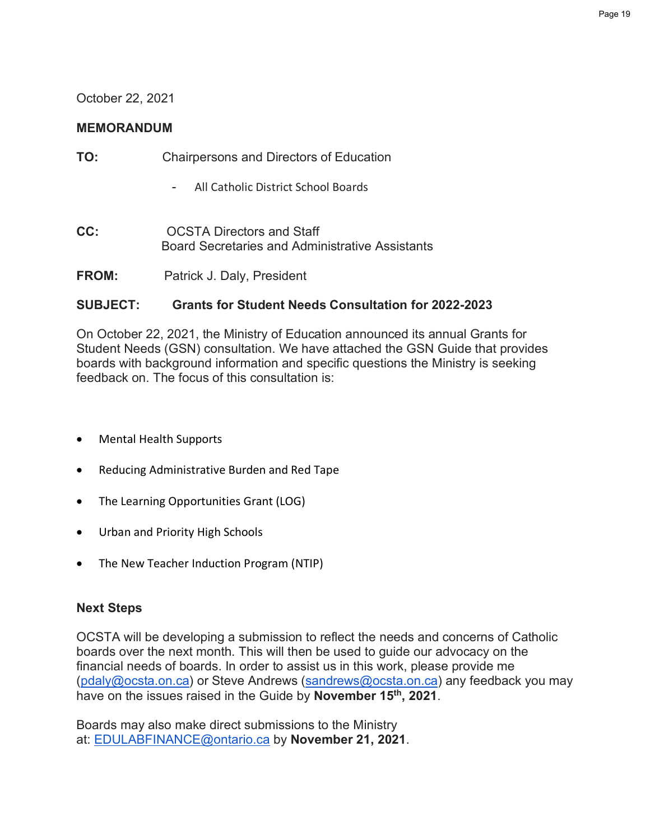#### October 22, 2021

#### **MEMORANDUM**

| TO: | Chairpersons and Directors of Education |
|-----|-----------------------------------------|
|-----|-----------------------------------------|

- All Catholic District School Boards
- **CC: CC: OCSTA Directors and Staff** Board Secretaries and Administrative Assistants
- **FROM:** Patrick J. Daly, President

#### **SUBJECT: Grants for Student Needs Consultation for 2022-2023**

On October 22, 2021, the Ministry of Education announced its annual Grants for Student Needs (GSN) consultation. We have attached the GSN Guide that provides boards with background information and specific questions the Ministry is seeking feedback on. The focus of this consultation is:

- Mental Health Supports
- Reducing Administrative Burden and Red Tape
- The Learning Opportunities Grant (LOG)
- Urban and Priority High Schools
- The New Teacher Induction Program (NTIP)

#### **Next Steps**

OCSTA will be developing a submission to reflect the needs and concerns of Catholic boards over the next month. This will then be used to guide our advocacy on the financial needs of boards. In order to assist us in this work, please provide me (pdaly@ocsta.on.ca) or Steve Andrews (sandrews@ocsta.on.ca) any feedback you may have on the issues raised in the Guide by **November 15th, 2021**.

Boards may also make direct submissions to the Ministry at: EDULABFINANCE@ontario.ca by **November 21, 2021**.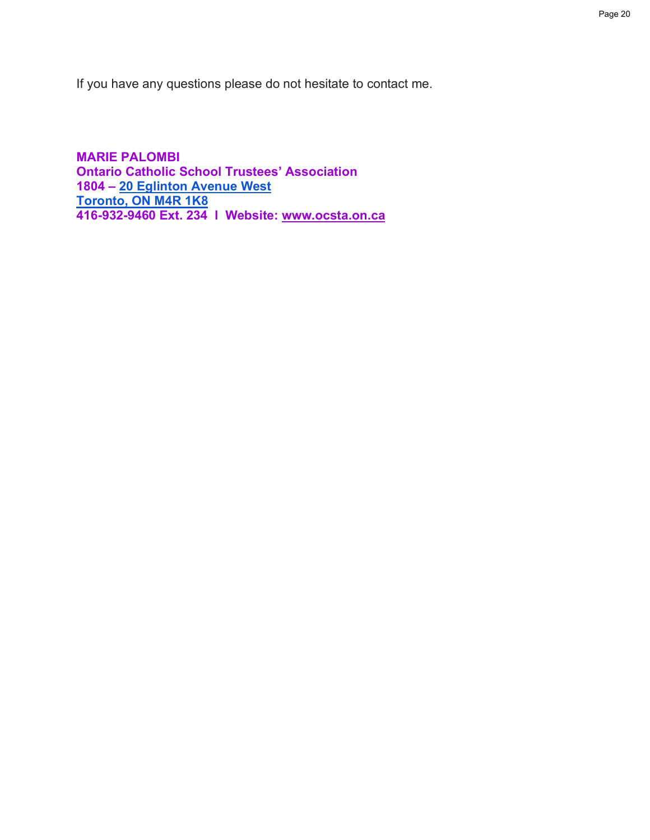If you have any questions please do not hesitate to contact me.

**MARIE PALOMBI Ontario Catholic School Trustees' Association 1804 – 20 Eglinton Avenue West Toronto, ON M4R 1K8 416-932-9460 Ext. 234 l Website: www.ocsta.on.ca**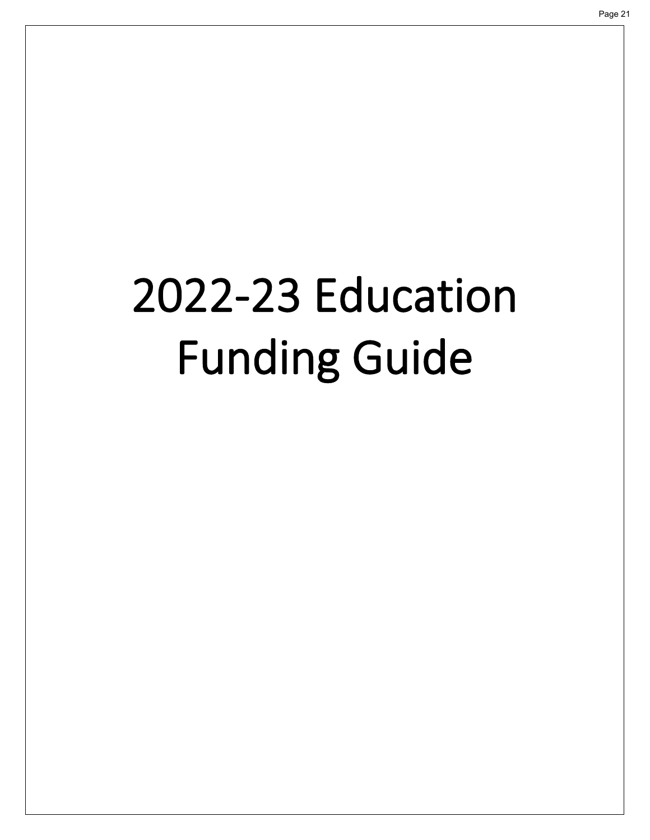## <span id="page-20-0"></span>2022-23 Education Funding Guide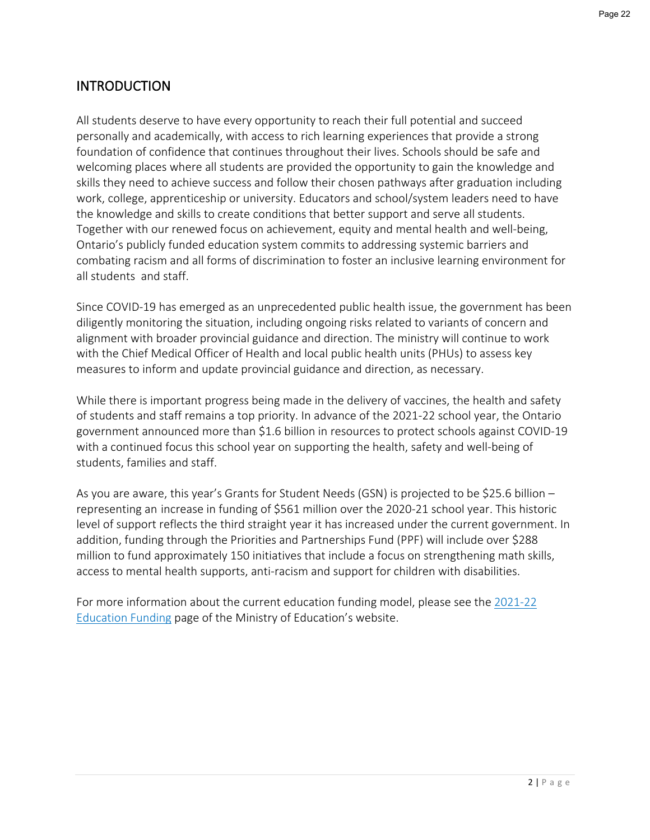#### **INTRODUCTION**

All students deserve to have every opportunity to reach their full potential and succeed personally and academically, with access to rich learning experiences that provide a strong foundation of confidence that continues throughout their lives. Schools should be safe and welcoming places where all students are provided the opportunity to gain the knowledge and skills they need to achieve success and follow their chosen pathways after graduation including work, college, apprenticeship or university. Educators and school/system leaders need to have the knowledge and skills to create conditions that better support and serve all students. Together with our renewed focus on achievement, equity and mental health and well-being, Ontario's publicly funded education system commits to addressing systemic barriers and combating racism and all forms of discrimination to foster an inclusive learning environment for all students and staff.

Since COVID-19 has emerged as an unprecedented public health issue, the government has been diligently monitoring the situation, including ongoing risks related to variants of concern and alignment with broader provincial guidance and direction. The ministry will continue to work with the Chief Medical Officer of Health and local public health units (PHUs) to assess key measures to inform and update provincial guidance and direction, as necessary.

While there is important progress being made in the delivery of vaccines, the health and safety of students and staff remains a top priority. In advance of the 2021-22 school year, the Ontario government announced more than \$1.6 billion in resources to protect schools against COVID-19 with a continued focus this school year on supporting the health, safety and well-being of students, families and staff.

As you are aware, this year's Grants for Student Needs (GSN) is projected to be \$25.6 billion – representing an increase in funding of \$561 million over the 2020-21 school year. This historic level of support reflects the third straight year it has increased under the current government. In addition, funding through the Priorities and Partnerships Fund (PPF) will include over \$288 million to fund approximately 150 initiatives that include a focus on strengthening math skills, access to mental health supports, anti-racism and support for children with disabilities.

[For more information about the current education funding model, please see the 2021-22](http://www.edu.gov.on.ca/eng/policyfunding/funding.html) Education Funding page of the Ministry of Education's website.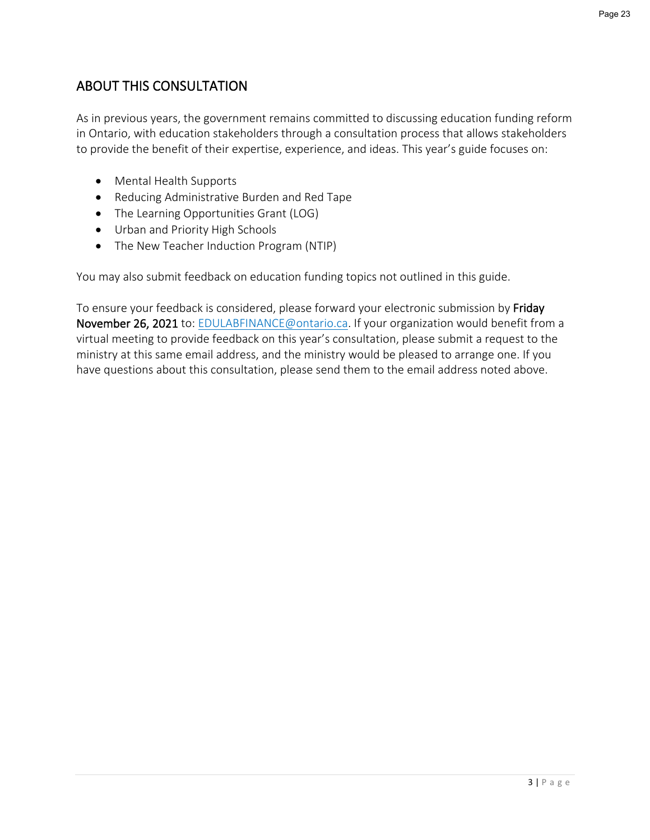#### ABOUT THIS CONSULTATION

As in previous years, the government remains committed to discussing education funding reform in Ontario, with education stakeholders through a consultation process that allows stakeholders to provide the benefit of their expertise, experience, and ideas. This year's guide focuses on:

- Mental Health Supports
- Reducing Administrative Burden and Red Tape
- The Learning Opportunities Grant (LOG)
- Urban and Priority High Schools
- The New Teacher Induction Program (NTIP)

You may also submit feedback on education funding topics not outlined in this guide.

To ensure your feedback is considered, please forward your electronic submission by Friday November 26, 2021 to: [EDULABFINANCE@ontario.ca.](mailto:EDULABFINANCE@ontario.ca) If your organization would benefit from a virtual meeting to provide feedback on this year's consultation, please submit a request to the ministry at this same email address, and the ministry would be pleased to arrange one. If you have questions about this consultation, please send them to the email address noted above.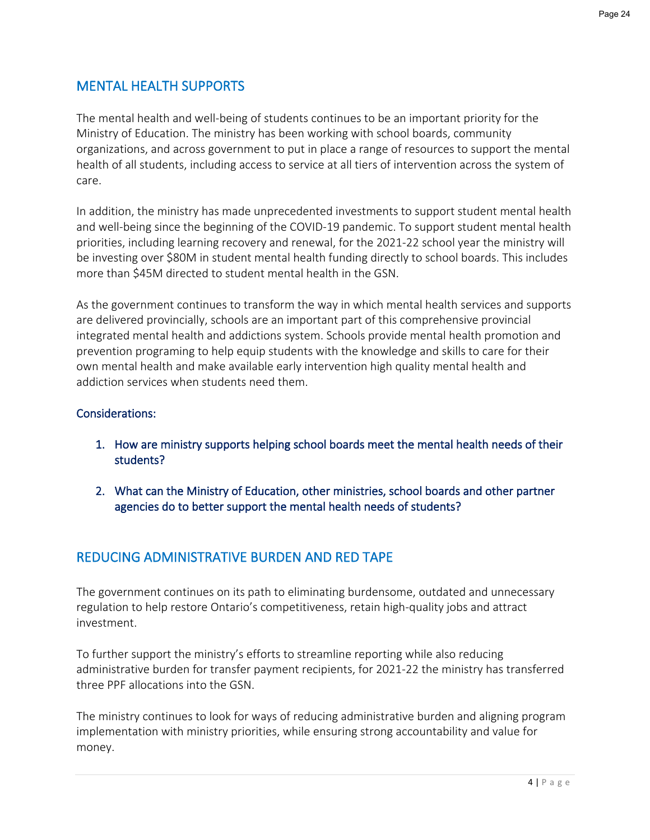#### MENTAL HEALTH SUPPORTS

The mental health and well-being of students continues to be an important priority for the Ministry of Education. The ministry has been working with school boards, community organizations, and across government to put in place a range of resources to support the mental health of all students, including access to service at all tiers of intervention across the system of care.

In addition, the ministry has made unprecedented investments to support student mental health and well-being since the beginning of the COVID-19 pandemic. To support student mental health priorities, including learning recovery and renewal, for the 2021-22 school year the ministry will be investing over \$80M in student mental health funding directly to school boards. This includes more than \$45M directed to student mental health in the GSN.

As the government continues to transform the way in which mental health services and supports are delivered provincially, schools are an important part of this comprehensive provincial integrated mental health and addictions system. Schools provide mental health promotion and prevention programing to help equip students with the knowledge and skills to care for their own mental health and make available early intervention high quality mental health and addiction services when students need them.

#### Considerations:

- 1. How are ministry supports helping school boards meet the mental health needs of their students?
- 2. What can the Ministry of Education, other ministries, school boards and other partner agencies do to better support the mental health needs of students?

#### REDUCING ADMINISTRATIVE BURDEN AND RED TAPE

The government continues on its path to eliminating burdensome, outdated and unnecessary regulation to help restore Ontario's competitiveness, retain high-quality jobs and attract investment.

To further support the ministry's efforts to streamline reporting while also reducing administrative burden for transfer payment recipients, for 2021-22 the ministry has transferred three PPF allocations into the GSN.

The ministry continues to look for ways of reducing administrative burden and aligning program implementation with ministry priorities, while ensuring strong accountability and value for money.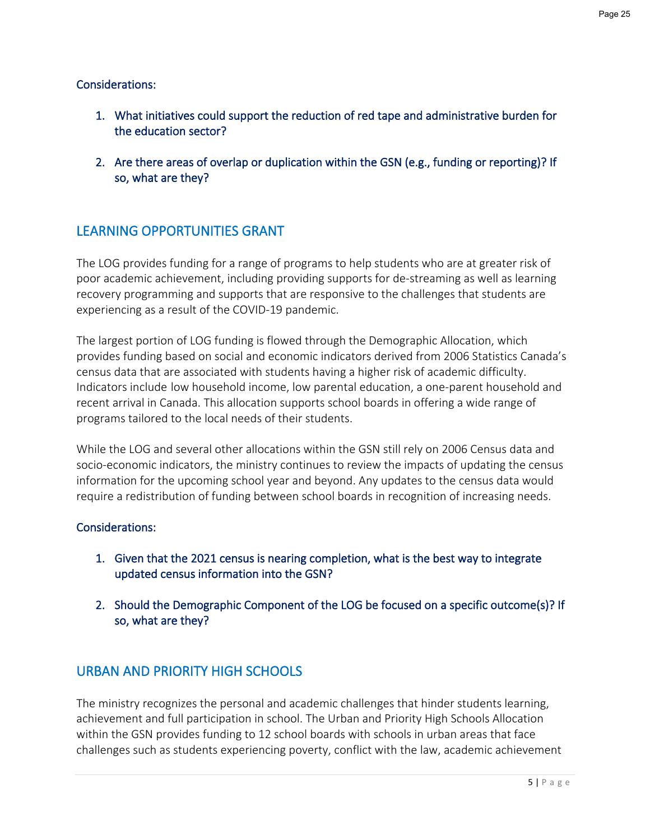#### Considerations:

- 1. What initiatives could support the reduction of red tape and administrative burden for the education sector?
- 2. Are there areas of overlap or duplication within the GSN (e.g., funding or reporting)? If so, what are they?

#### LEARNING OPPORTUNITIES GRANT

The LOG provides funding for a range of programs to help students who are at greater risk of poor academic achievement, including providing supports for de-streaming as well as learning recovery programming and supports that are responsive to the challenges that students are experiencing as a result of the COVID-19 pandemic.

The largest portion of LOG funding is flowed through the Demographic Allocation, which provides funding based on social and economic indicators derived from 2006 Statistics Canada's census data that are associated with students having a higher risk of academic difficulty. Indicators include low household income, low parental education, a one-parent household and recent arrival in Canada. This allocation supports school boards in offering a wide range of programs tailored to the local needs of their students.

While the LOG and several other allocations within the GSN still rely on 2006 Census data and socio-economic indicators, the ministry continues to review the impacts of updating the census information for the upcoming school year and beyond. Any updates to the census data would require a redistribution of funding between school boards in recognition of increasing needs.

#### Considerations:

- 1. Given that the 2021 census is nearing completion, what is the best way to integrate updated census information into the GSN?
- 2. Should the Demographic Component of the LOG be focused on a specific outcome(s)? If so, what are they?

#### URBAN AND PRIORITY HIGH SCHOOLS

The ministry recognizes the personal and academic challenges that hinder students learning, achievement and full participation in school. The Urban and Priority High Schools Allocation within the GSN provides funding to 12 school boards with schools in urban areas that face challenges such as students experiencing poverty, conflict with the law, academic achievement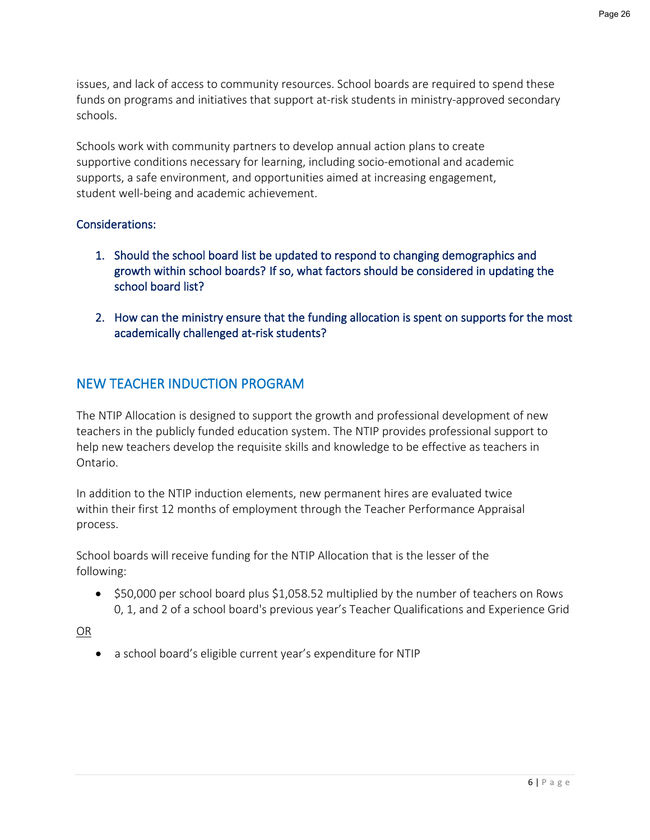issues, and lack of access to community resources. School boards are required to spend these funds on programs and initiatives that support at-risk students in ministry-approved secondary schools.

Schools work with community partners to develop annual action plans to create supportive conditions necessary for learning, including socio-emotional and academic supports, a safe environment, and opportunities aimed at increasing engagement, student well-being and academic achievement.

#### Considerations:

- 1. Should the school board list be updated to respond to changing demographics and growth within school boards? If so, what factors should be considered in updating the school board list?
- 2. How can the ministry ensure that the funding allocation is spent on supports for the most academically challenged at-risk students?

#### NEW TEACHER INDUCTION PROGRAM

The NTIP Allocation is designed to support the growth and professional development of new teachers in the publicly funded education system. The NTIP provides professional support to help new teachers develop the requisite skills and knowledge to be effective as teachers in Ontario.

In addition to the NTIP induction elements, new permanent hires are evaluated twice within their first 12 months of employment through the Teacher Performance Appraisal process.

School boards will receive funding for the NTIP Allocation that is the lesser of the following:

• \$50,000 per school board plus \$1,058.52 multiplied by the number of teachers on Rows 0, 1, and 2 of a school board's previous year's Teacher Qualifications and Experience Grid

OR

a school board's eligible current year's expenditure for NTIP